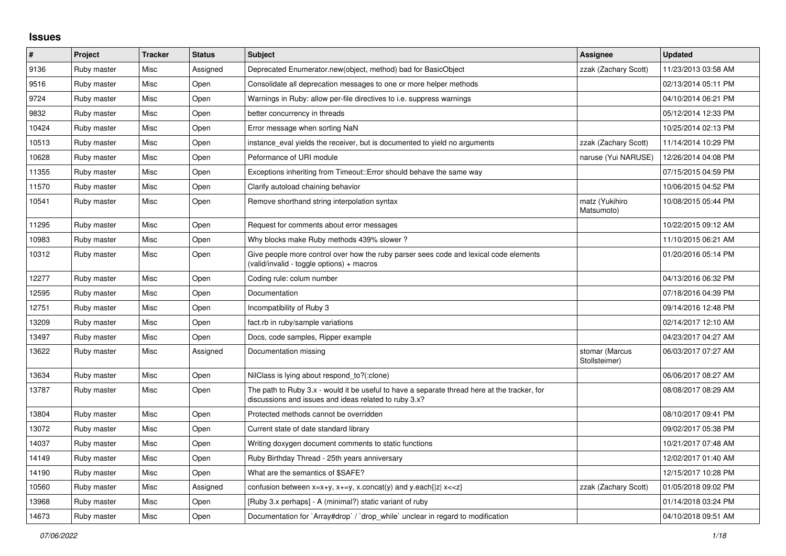## **Issues**

| $\vert$ # | Project     | <b>Tracker</b> | <b>Status</b> | <b>Subject</b>                                                                                                                                        | Assignee                        | <b>Updated</b>      |
|-----------|-------------|----------------|---------------|-------------------------------------------------------------------------------------------------------------------------------------------------------|---------------------------------|---------------------|
| 9136      | Ruby master | Misc           | Assigned      | Deprecated Enumerator.new(object, method) bad for BasicObject                                                                                         | zzak (Zachary Scott)            | 11/23/2013 03:58 AM |
| 9516      | Ruby master | Misc           | Open          | Consolidate all deprecation messages to one or more helper methods                                                                                    |                                 | 02/13/2014 05:11 PM |
| 9724      | Ruby master | Misc           | Open          | Warnings in Ruby: allow per-file directives to i.e. suppress warnings                                                                                 |                                 | 04/10/2014 06:21 PM |
| 9832      | Ruby master | Misc           | Open          | better concurrency in threads                                                                                                                         |                                 | 05/12/2014 12:33 PM |
| 10424     | Ruby master | Misc           | Open          | Error message when sorting NaN                                                                                                                        |                                 | 10/25/2014 02:13 PM |
| 10513     | Ruby master | Misc           | Open          | instance eval yields the receiver, but is documented to yield no arguments                                                                            | zzak (Zachary Scott)            | 11/14/2014 10:29 PM |
| 10628     | Ruby master | Misc           | Open          | Peformance of URI module                                                                                                                              | naruse (Yui NARUSE)             | 12/26/2014 04:08 PM |
| 11355     | Ruby master | Misc           | Open          | Exceptions inheriting from Timeout:: Error should behave the same way                                                                                 |                                 | 07/15/2015 04:59 PM |
| 11570     | Ruby master | Misc           | Open          | Clarify autoload chaining behavior                                                                                                                    |                                 | 10/06/2015 04:52 PM |
| 10541     | Ruby master | Misc           | Open          | Remove shorthand string interpolation syntax                                                                                                          | matz (Yukihiro<br>Matsumoto)    | 10/08/2015 05:44 PM |
| 11295     | Ruby master | Misc           | Open          | Request for comments about error messages                                                                                                             |                                 | 10/22/2015 09:12 AM |
| 10983     | Ruby master | Misc           | Open          | Why blocks make Ruby methods 439% slower?                                                                                                             |                                 | 11/10/2015 06:21 AM |
| 10312     | Ruby master | Misc           | Open          | Give people more control over how the ruby parser sees code and lexical code elements<br>(valid/invalid - toggle options) + macros                    |                                 | 01/20/2016 05:14 PM |
| 12277     | Ruby master | Misc           | Open          | Coding rule: colum number                                                                                                                             |                                 | 04/13/2016 06:32 PM |
| 12595     | Ruby master | Misc           | Open          | Documentation                                                                                                                                         |                                 | 07/18/2016 04:39 PM |
| 12751     | Ruby master | Misc           | Open          | Incompatibility of Ruby 3                                                                                                                             |                                 | 09/14/2016 12:48 PM |
| 13209     | Ruby master | Misc           | Open          | fact.rb in ruby/sample variations                                                                                                                     |                                 | 02/14/2017 12:10 AM |
| 13497     | Ruby master | Misc           | Open          | Docs, code samples, Ripper example                                                                                                                    |                                 | 04/23/2017 04:27 AM |
| 13622     | Ruby master | Misc           | Assigned      | Documentation missing                                                                                                                                 | stomar (Marcus<br>Stollsteimer) | 06/03/2017 07:27 AM |
| 13634     | Ruby master | Misc           | Open          | NilClass is lying about respond to?(:clone)                                                                                                           |                                 | 06/06/2017 08:27 AM |
| 13787     | Ruby master | Misc           | Open          | The path to Ruby 3.x - would it be useful to have a separate thread here at the tracker, for<br>discussions and issues and ideas related to ruby 3.x? |                                 | 08/08/2017 08:29 AM |
| 13804     | Ruby master | Misc           | Open          | Protected methods cannot be overridden                                                                                                                |                                 | 08/10/2017 09:41 PM |
| 13072     | Ruby master | Misc           | Open          | Current state of date standard library                                                                                                                |                                 | 09/02/2017 05:38 PM |
| 14037     | Ruby master | Misc           | Open          | Writing doxygen document comments to static functions                                                                                                 |                                 | 10/21/2017 07:48 AM |
| 14149     | Ruby master | Misc           | Open          | Ruby Birthday Thread - 25th years anniversary                                                                                                         |                                 | 12/02/2017 01:40 AM |
| 14190     | Ruby master | Misc           | Open          | What are the semantics of \$SAFE?                                                                                                                     |                                 | 12/15/2017 10:28 PM |
| 10560     | Ruby master | Misc           | Assigned      | confusion between $x=x+y$ , $x+=y$ , x.concat(y) and y.each{ z  $x<}$                                                                                 | zzak (Zachary Scott)            | 01/05/2018 09:02 PM |
| 13968     | Ruby master | Misc           | Open          | [Ruby 3.x perhaps] - A (minimal?) static variant of ruby                                                                                              |                                 | 01/14/2018 03:24 PM |
| 14673     | Ruby master | Misc           | Open          | Documentation for `Array#drop` / `drop` while` unclear in regard to modification                                                                      |                                 | 04/10/2018 09:51 AM |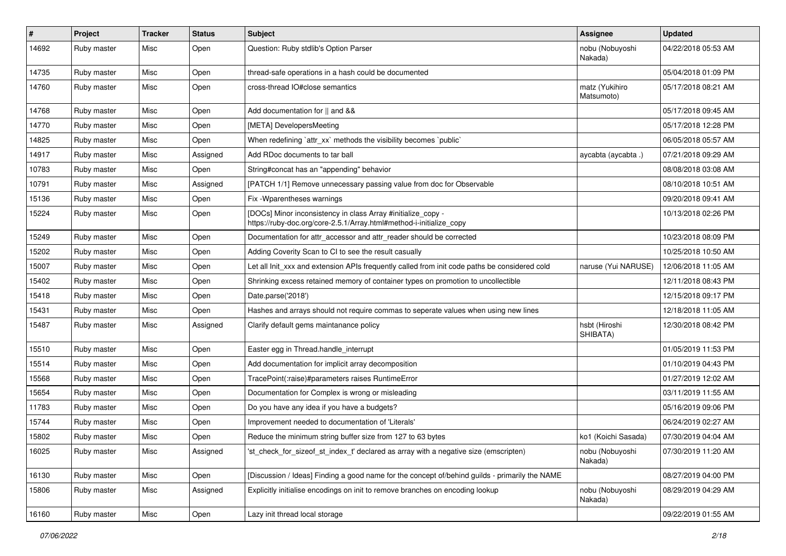| #     | Project     | <b>Tracker</b> | <b>Status</b> | Subject                                                                                                                             | Assignee                     | <b>Updated</b>      |
|-------|-------------|----------------|---------------|-------------------------------------------------------------------------------------------------------------------------------------|------------------------------|---------------------|
| 14692 | Ruby master | Misc           | Open          | Question: Ruby stdlib's Option Parser                                                                                               | nobu (Nobuyoshi<br>Nakada)   | 04/22/2018 05:53 AM |
| 14735 | Ruby master | Misc           | Open          | thread-safe operations in a hash could be documented                                                                                |                              | 05/04/2018 01:09 PM |
| 14760 | Ruby master | Misc           | Open          | cross-thread IO#close semantics                                                                                                     | matz (Yukihiro<br>Matsumoto) | 05/17/2018 08:21 AM |
| 14768 | Ruby master | Misc           | Open          | Add documentation for    and &&                                                                                                     |                              | 05/17/2018 09:45 AM |
| 14770 | Ruby master | Misc           | Open          | [META] DevelopersMeeting                                                                                                            |                              | 05/17/2018 12:28 PM |
| 14825 | Ruby master | Misc           | Open          | When redefining 'attr xx' methods the visibility becomes 'public'                                                                   |                              | 06/05/2018 05:57 AM |
| 14917 | Ruby master | Misc           | Assigned      | Add RDoc documents to tar ball                                                                                                      | aycabta (aycabta.)           | 07/21/2018 09:29 AM |
| 10783 | Ruby master | Misc           | Open          | String#concat has an "appending" behavior                                                                                           |                              | 08/08/2018 03:08 AM |
| 10791 | Ruby master | Misc           | Assigned      | [PATCH 1/1] Remove unnecessary passing value from doc for Observable                                                                |                              | 08/10/2018 10:51 AM |
| 15136 | Ruby master | Misc           | Open          | Fix - Wparentheses warnings                                                                                                         |                              | 09/20/2018 09:41 AM |
| 15224 | Ruby master | Misc           | Open          | [DOCs] Minor inconsistency in class Array #initialize_copy -<br>https://ruby-doc.org/core-2.5.1/Array.html#method-i-initialize_copy |                              | 10/13/2018 02:26 PM |
| 15249 | Ruby master | Misc           | Open          | Documentation for attr_accessor and attr_reader should be corrected                                                                 |                              | 10/23/2018 08:09 PM |
| 15202 | Ruby master | Misc           | Open          | Adding Coverity Scan to CI to see the result casually                                                                               |                              | 10/25/2018 10:50 AM |
| 15007 | Ruby master | Misc           | Open          | Let all Init_xxx and extension APIs frequently called from init code paths be considered cold                                       | naruse (Yui NARUSE)          | 12/06/2018 11:05 AM |
| 15402 | Ruby master | Misc           | Open          | Shrinking excess retained memory of container types on promotion to uncollectible                                                   |                              | 12/11/2018 08:43 PM |
| 15418 | Ruby master | Misc           | Open          | Date.parse('2018')                                                                                                                  |                              | 12/15/2018 09:17 PM |
| 15431 | Ruby master | Misc           | Open          | Hashes and arrays should not require commas to seperate values when using new lines                                                 |                              | 12/18/2018 11:05 AM |
| 15487 | Ruby master | Misc           | Assigned      | Clarify default gems maintanance policy                                                                                             | hsbt (Hiroshi<br>SHIBATA)    | 12/30/2018 08:42 PM |
| 15510 | Ruby master | Misc           | Open          | Easter egg in Thread.handle_interrupt                                                                                               |                              | 01/05/2019 11:53 PM |
| 15514 | Ruby master | Misc           | Open          | Add documentation for implicit array decomposition                                                                                  |                              | 01/10/2019 04:43 PM |
| 15568 | Ruby master | Misc           | Open          | TracePoint(:raise)#parameters raises RuntimeError                                                                                   |                              | 01/27/2019 12:02 AM |
| 15654 | Ruby master | Misc           | Open          | Documentation for Complex is wrong or misleading                                                                                    |                              | 03/11/2019 11:55 AM |
| 11783 | Ruby master | Misc           | Open          | Do you have any idea if you have a budgets?                                                                                         |                              | 05/16/2019 09:06 PM |
| 15744 | Ruby master | Misc           | Open          | Improvement needed to documentation of 'Literals'                                                                                   |                              | 06/24/2019 02:27 AM |
| 15802 | Ruby master | Misc           | Open          | Reduce the minimum string buffer size from 127 to 63 bytes                                                                          | ko1 (Koichi Sasada)          | 07/30/2019 04:04 AM |
| 16025 | Ruby master | Misc           | Assigned      | 'st_check_for_sizeof_st_index_t' declared as array with a negative size (emscripten)                                                | nobu (Nobuyoshi<br>Nakada)   | 07/30/2019 11:20 AM |
| 16130 | Ruby master | Misc           | Open          | [Discussion / Ideas] Finding a good name for the concept of/behind guilds - primarily the NAME                                      |                              | 08/27/2019 04:00 PM |
| 15806 | Ruby master | Misc           | Assigned      | Explicitly initialise encodings on init to remove branches on encoding lookup                                                       | nobu (Nobuyoshi<br>Nakada)   | 08/29/2019 04:29 AM |
| 16160 | Ruby master | Misc           | Open          | Lazy init thread local storage                                                                                                      |                              | 09/22/2019 01:55 AM |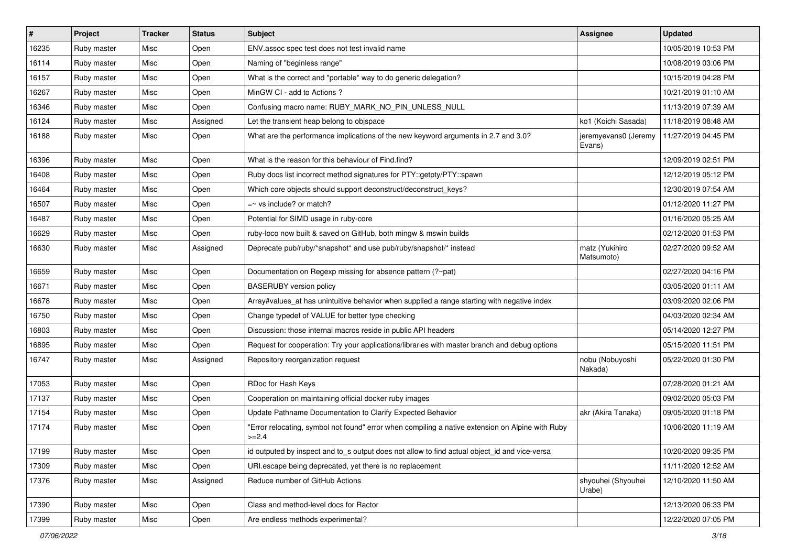| #     | Project     | <b>Tracker</b> | <b>Status</b> | Subject                                                                                                     | <b>Assignee</b>                | <b>Updated</b>      |
|-------|-------------|----------------|---------------|-------------------------------------------------------------------------------------------------------------|--------------------------------|---------------------|
| 16235 | Ruby master | Misc           | Open          | ENV assoc spec test does not test invalid name                                                              |                                | 10/05/2019 10:53 PM |
| 16114 | Ruby master | Misc           | Open          | Naming of "beginless range"                                                                                 |                                | 10/08/2019 03:06 PM |
| 16157 | Ruby master | Misc           | Open          | What is the correct and *portable* way to do generic delegation?                                            |                                | 10/15/2019 04:28 PM |
| 16267 | Ruby master | Misc           | Open          | MinGW CI - add to Actions?                                                                                  |                                | 10/21/2019 01:10 AM |
| 16346 | Ruby master | Misc           | Open          | Confusing macro name: RUBY_MARK_NO_PIN_UNLESS_NULL                                                          |                                | 11/13/2019 07:39 AM |
| 16124 | Ruby master | Misc           | Assigned      | Let the transient heap belong to objspace                                                                   | ko1 (Koichi Sasada)            | 11/18/2019 08:48 AM |
| 16188 | Ruby master | Misc           | Open          | What are the performance implications of the new keyword arguments in 2.7 and 3.0?                          | jeremyevans0 (Jeremy<br>Evans) | 11/27/2019 04:45 PM |
| 16396 | Ruby master | Misc           | Open          | What is the reason for this behaviour of Find.find?                                                         |                                | 12/09/2019 02:51 PM |
| 16408 | Ruby master | Misc           | Open          | Ruby docs list incorrect method signatures for PTY::getpty/PTY::spawn                                       |                                | 12/12/2019 05:12 PM |
| 16464 | Ruby master | Misc           | Open          | Which core objects should support deconstruct/deconstruct_keys?                                             |                                | 12/30/2019 07:54 AM |
| 16507 | Ruby master | Misc           | Open          | $=$ vs include? or match?                                                                                   |                                | 01/12/2020 11:27 PM |
| 16487 | Ruby master | Misc           | Open          | Potential for SIMD usage in ruby-core                                                                       |                                | 01/16/2020 05:25 AM |
| 16629 | Ruby master | Misc           | Open          | ruby-loco now built & saved on GitHub, both mingw & mswin builds                                            |                                | 02/12/2020 01:53 PM |
| 16630 | Ruby master | Misc           | Assigned      | Deprecate pub/ruby/*snapshot* and use pub/ruby/snapshot/* instead                                           | matz (Yukihiro<br>Matsumoto)   | 02/27/2020 09:52 AM |
| 16659 | Ruby master | Misc           | Open          | Documentation on Regexp missing for absence pattern (?~pat)                                                 |                                | 02/27/2020 04:16 PM |
| 16671 | Ruby master | Misc           | Open          | <b>BASERUBY</b> version policy                                                                              |                                | 03/05/2020 01:11 AM |
| 16678 | Ruby master | Misc           | Open          | Array#values_at has unintuitive behavior when supplied a range starting with negative index                 |                                | 03/09/2020 02:06 PM |
| 16750 | Ruby master | Misc           | Open          | Change typedef of VALUE for better type checking                                                            |                                | 04/03/2020 02:34 AM |
| 16803 | Ruby master | Misc           | Open          | Discussion: those internal macros reside in public API headers                                              |                                | 05/14/2020 12:27 PM |
| 16895 | Ruby master | Misc           | Open          | Request for cooperation: Try your applications/libraries with master branch and debug options               |                                | 05/15/2020 11:51 PM |
| 16747 | Ruby master | Misc           | Assigned      | Repository reorganization request                                                                           | nobu (Nobuyoshi<br>Nakada)     | 05/22/2020 01:30 PM |
| 17053 | Ruby master | Misc           | Open          | RDoc for Hash Keys                                                                                          |                                | 07/28/2020 01:21 AM |
| 17137 | Ruby master | Misc           | Open          | Cooperation on maintaining official docker ruby images                                                      |                                | 09/02/2020 05:03 PM |
| 17154 | Ruby master | Misc           | Open          | Update Pathname Documentation to Clarify Expected Behavior                                                  | akr (Akira Tanaka)             | 09/05/2020 01:18 PM |
| 17174 | Ruby master | Misc           | Open          | "Error relocating, symbol not found" error when compiling a native extension on Alpine with Ruby<br>$>=2.4$ |                                | 10/06/2020 11:19 AM |
| 17199 | Ruby master | Misc           | Open          | id outputed by inspect and to_s output does not allow to find actual object_id and vice-versa               |                                | 10/20/2020 09:35 PM |
| 17309 | Ruby master | Misc           | Open          | URI.escape being deprecated, yet there is no replacement                                                    |                                | 11/11/2020 12:52 AM |
| 17376 | Ruby master | Misc           | Assigned      | Reduce number of GitHub Actions                                                                             | shyouhei (Shyouhei<br>Urabe)   | 12/10/2020 11:50 AM |
| 17390 | Ruby master | Misc           | Open          | Class and method-level docs for Ractor                                                                      |                                | 12/13/2020 06:33 PM |
| 17399 | Ruby master | Misc           | Open          | Are endless methods experimental?                                                                           |                                | 12/22/2020 07:05 PM |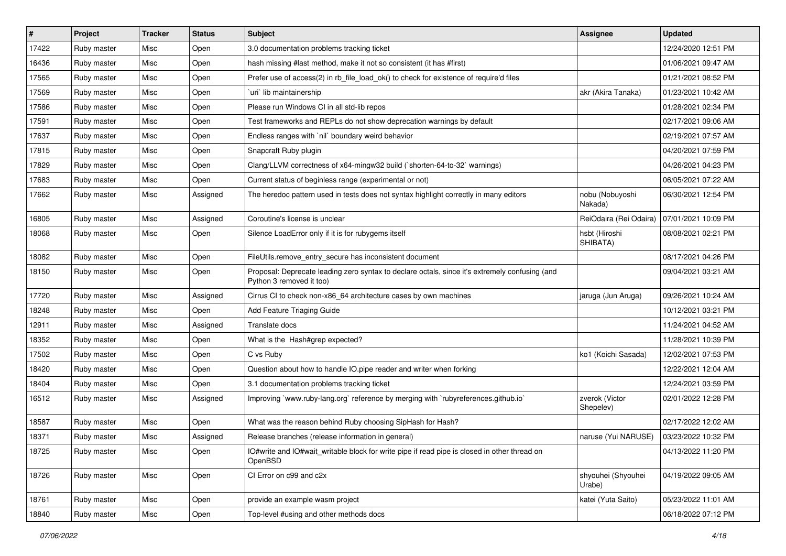| #     | Project     | <b>Tracker</b> | <b>Status</b> | <b>Subject</b>                                                                                                             | <b>Assignee</b>              | <b>Updated</b>      |
|-------|-------------|----------------|---------------|----------------------------------------------------------------------------------------------------------------------------|------------------------------|---------------------|
| 17422 | Ruby master | Misc           | Open          | 3.0 documentation problems tracking ticket                                                                                 |                              | 12/24/2020 12:51 PM |
| 16436 | Ruby master | Misc           | Open          | hash missing #last method, make it not so consistent (it has #first)                                                       |                              | 01/06/2021 09:47 AM |
| 17565 | Ruby master | Misc           | Open          | Prefer use of access(2) in rb_file_load_ok() to check for existence of require'd files                                     |                              | 01/21/2021 08:52 PM |
| 17569 | Ruby master | Misc           | Open          | uri lib maintainership                                                                                                     | akr (Akira Tanaka)           | 01/23/2021 10:42 AM |
| 17586 | Ruby master | Misc           | Open          | Please run Windows CI in all std-lib repos                                                                                 |                              | 01/28/2021 02:34 PM |
| 17591 | Ruby master | Misc           | Open          | Test frameworks and REPLs do not show deprecation warnings by default                                                      |                              | 02/17/2021 09:06 AM |
| 17637 | Ruby master | Misc           | Open          | Endless ranges with `nil` boundary weird behavior                                                                          |                              | 02/19/2021 07:57 AM |
| 17815 | Ruby master | Misc           | Open          | Snapcraft Ruby plugin                                                                                                      |                              | 04/20/2021 07:59 PM |
| 17829 | Ruby master | Misc           | Open          | Clang/LLVM correctness of x64-mingw32 build (`shorten-64-to-32` warnings)                                                  |                              | 04/26/2021 04:23 PM |
| 17683 | Ruby master | Misc           | Open          | Current status of beginless range (experimental or not)                                                                    |                              | 06/05/2021 07:22 AM |
| 17662 | Ruby master | Misc           | Assigned      | The heredoc pattern used in tests does not syntax highlight correctly in many editors                                      | nobu (Nobuyoshi<br>Nakada)   | 06/30/2021 12:54 PM |
| 16805 | Ruby master | Misc           | Assigned      | Coroutine's license is unclear                                                                                             | ReiOdaira (Rei Odaira)       | 07/01/2021 10:09 PM |
| 18068 | Ruby master | Misc           | Open          | Silence LoadError only if it is for rubygems itself                                                                        | hsbt (Hiroshi<br>SHIBATA)    | 08/08/2021 02:21 PM |
| 18082 | Ruby master | Misc           | Open          | FileUtils.remove entry secure has inconsistent document                                                                    |                              | 08/17/2021 04:26 PM |
| 18150 | Ruby master | Misc           | Open          | Proposal: Deprecate leading zero syntax to declare octals, since it's extremely confusing (and<br>Python 3 removed it too) |                              | 09/04/2021 03:21 AM |
| 17720 | Ruby master | Misc           | Assigned      | Cirrus CI to check non-x86 64 architecture cases by own machines                                                           | jaruga (Jun Aruga)           | 09/26/2021 10:24 AM |
| 18248 | Ruby master | Misc           | Open          | Add Feature Triaging Guide                                                                                                 |                              | 10/12/2021 03:21 PM |
| 12911 | Ruby master | Misc           | Assigned      | Translate docs                                                                                                             |                              | 11/24/2021 04:52 AM |
| 18352 | Ruby master | Misc           | Open          | What is the Hash#grep expected?                                                                                            |                              | 11/28/2021 10:39 PM |
| 17502 | Ruby master | Misc           | Open          | C vs Ruby                                                                                                                  | ko1 (Koichi Sasada)          | 12/02/2021 07:53 PM |
| 18420 | Ruby master | Misc           | Open          | Question about how to handle IO.pipe reader and writer when forking                                                        |                              | 12/22/2021 12:04 AM |
| 18404 | Ruby master | Misc           | Open          | 3.1 documentation problems tracking ticket                                                                                 |                              | 12/24/2021 03:59 PM |
| 16512 | Ruby master | Misc           | Assigned      | Improving `www.ruby-lang.org` reference by merging with `rubyreferences.github.io`                                         | zverok (Victor<br>Shepelev)  | 02/01/2022 12:28 PM |
| 18587 | Ruby master | Misc           | Open          | What was the reason behind Ruby choosing SipHash for Hash?                                                                 |                              | 02/17/2022 12:02 AM |
| 18371 | Ruby master | Misc           | Assigned      | Release branches (release information in general)                                                                          | naruse (Yui NARUSE)          | 03/23/2022 10:32 PM |
| 18725 | Ruby master | Misc           | Open          | IO#write and IO#wait_writable block for write pipe if read pipe is closed in other thread on<br>OpenBSD                    |                              | 04/13/2022 11:20 PM |
| 18726 | Ruby master | Misc           | Open          | CI Error on c99 and c2x                                                                                                    | shyouhei (Shyouhei<br>Urabe) | 04/19/2022 09:05 AM |
| 18761 | Ruby master | Misc           | Open          | provide an example wasm project                                                                                            | katei (Yuta Saito)           | 05/23/2022 11:01 AM |
| 18840 | Ruby master | Misc           | Open          | Top-level #using and other methods docs                                                                                    |                              | 06/18/2022 07:12 PM |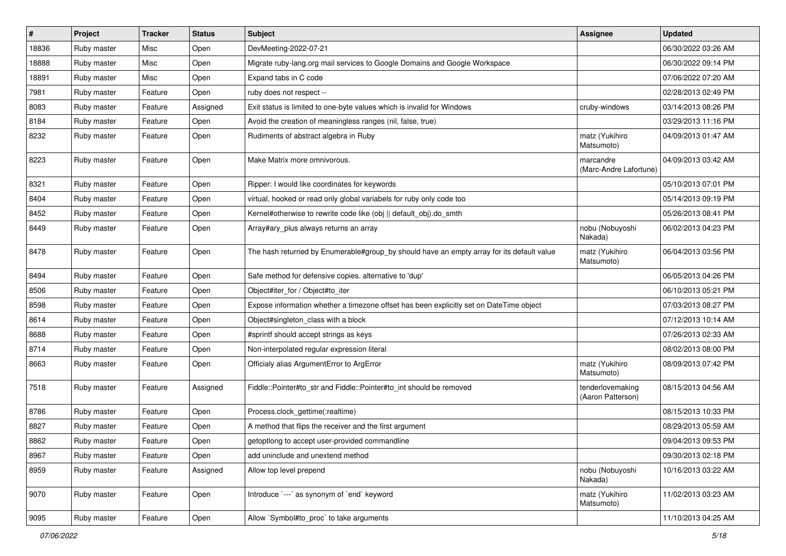| $\sharp$ | Project     | <b>Tracker</b> | <b>Status</b> | Subject                                                                                   | <b>Assignee</b>                       | <b>Updated</b>      |
|----------|-------------|----------------|---------------|-------------------------------------------------------------------------------------------|---------------------------------------|---------------------|
| 18836    | Ruby master | Misc           | Open          | DevMeeting-2022-07-21                                                                     |                                       | 06/30/2022 03:26 AM |
| 18888    | Ruby master | Misc           | Open          | Migrate ruby-lang.org mail services to Google Domains and Google Workspace                |                                       | 06/30/2022 09:14 PM |
| 18891    | Ruby master | Misc           | Open          | Expand tabs in C code                                                                     |                                       | 07/06/2022 07:20 AM |
| 7981     | Ruby master | Feature        | Open          | ruby does not respect --                                                                  |                                       | 02/28/2013 02:49 PM |
| 8083     | Ruby master | Feature        | Assigned      | Exit status is limited to one-byte values which is invalid for Windows                    | cruby-windows                         | 03/14/2013 08:26 PM |
| 8184     | Ruby master | Feature        | Open          | Avoid the creation of meaningless ranges (nil, false, true)                               |                                       | 03/29/2013 11:16 PM |
| 8232     | Ruby master | Feature        | Open          | Rudiments of abstract algebra in Ruby                                                     | matz (Yukihiro<br>Matsumoto)          | 04/09/2013 01:47 AM |
| 8223     | Ruby master | Feature        | Open          | Make Matrix more omnivorous.                                                              | marcandre<br>(Marc-Andre Lafortune)   | 04/09/2013 03:42 AM |
| 8321     | Ruby master | Feature        | Open          | Ripper: I would like coordinates for keywords                                             |                                       | 05/10/2013 07:01 PM |
| 8404     | Ruby master | Feature        | Open          | virtual, hooked or read only global variabels for ruby only code too                      |                                       | 05/14/2013 09:19 PM |
| 8452     | Ruby master | Feature        | Open          | Kernel#otherwise to rewrite code like (obj    default_obj).do_smth                        |                                       | 05/26/2013 08:41 PM |
| 8449     | Ruby master | Feature        | Open          | Array#ary_plus always returns an array                                                    | nobu (Nobuyoshi<br>Nakada)            | 06/02/2013 04:23 PM |
| 8478     | Ruby master | Feature        | Open          | The hash returned by Enumerable#group_by should have an empty array for its default value | matz (Yukihiro<br>Matsumoto)          | 06/04/2013 03:56 PM |
| 8494     | Ruby master | Feature        | Open          | Safe method for defensive copies. alternative to 'dup'                                    |                                       | 06/05/2013 04:26 PM |
| 8506     | Ruby master | Feature        | Open          | Object#iter_for / Object#to_iter                                                          |                                       | 06/10/2013 05:21 PM |
| 8598     | Ruby master | Feature        | Open          | Expose information whether a timezone offset has been explicitly set on DateTime object   |                                       | 07/03/2013 08:27 PM |
| 8614     | Ruby master | Feature        | Open          | Object#singleton_class with a block                                                       |                                       | 07/12/2013 10:14 AM |
| 8688     | Ruby master | Feature        | Open          | #sprintf should accept strings as keys                                                    |                                       | 07/26/2013 02:33 AM |
| 8714     | Ruby master | Feature        | Open          | Non-interpolated regular expression literal                                               |                                       | 08/02/2013 08:00 PM |
| 8663     | Ruby master | Feature        | Open          | Officialy alias ArgumentError to ArgError                                                 | matz (Yukihiro<br>Matsumoto)          | 08/09/2013 07:42 PM |
| 7518     | Ruby master | Feature        | Assigned      | Fiddle::Pointer#to_str and Fiddle::Pointer#to_int should be removed                       | tenderlovemaking<br>(Aaron Patterson) | 08/15/2013 04:56 AM |
| 8786     | Ruby master | Feature        | Open          | Process.clock_gettime(:realtime)                                                          |                                       | 08/15/2013 10:33 PM |
| 8827     | Ruby master | Feature        | Open          | A method that flips the receiver and the first argument                                   |                                       | 08/29/2013 05:59 AM |
| 8862     | Ruby master | Feature        | Open          | getoptlong to accept user-provided commandline                                            |                                       | 09/04/2013 09:53 PM |
| 8967     | Ruby master | Feature        | Open          | add uninclude and unextend method                                                         |                                       | 09/30/2013 02:18 PM |
| 8959     | Ruby master | Feature        | Assigned      | Allow top level prepend                                                                   | nobu (Nobuyoshi<br>Nakada)            | 10/16/2013 03:22 AM |
| 9070     | Ruby master | Feature        | Open          | Introduce `---` as synonym of `end` keyword                                               | matz (Yukihiro<br>Matsumoto)          | 11/02/2013 03:23 AM |
| 9095     | Ruby master | Feature        | Open          | Allow `Symbol#to_proc` to take arguments                                                  |                                       | 11/10/2013 04:25 AM |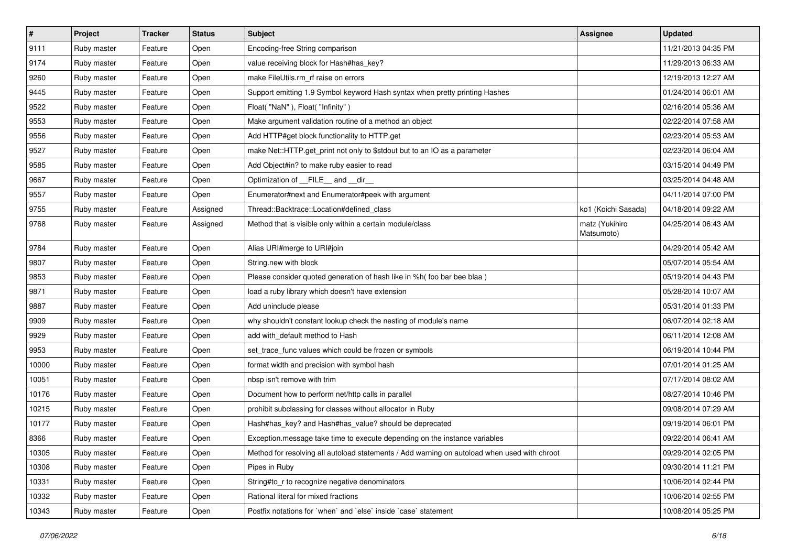| $\pmb{\#}$ | Project     | <b>Tracker</b> | <b>Status</b> | Subject                                                                                      | <b>Assignee</b>              | <b>Updated</b>      |
|------------|-------------|----------------|---------------|----------------------------------------------------------------------------------------------|------------------------------|---------------------|
| 9111       | Ruby master | Feature        | Open          | Encoding-free String comparison                                                              |                              | 11/21/2013 04:35 PM |
| 9174       | Ruby master | Feature        | Open          | value receiving block for Hash#has_key?                                                      |                              | 11/29/2013 06:33 AM |
| 9260       | Ruby master | Feature        | Open          | make FileUtils.rm rf raise on errors                                                         |                              | 12/19/2013 12:27 AM |
| 9445       | Ruby master | Feature        | Open          | Support emitting 1.9 Symbol keyword Hash syntax when pretty printing Hashes                  |                              | 01/24/2014 06:01 AM |
| 9522       | Ruby master | Feature        | Open          | Float("NaN"), Float("Infinity")                                                              |                              | 02/16/2014 05:36 AM |
| 9553       | Ruby master | Feature        | Open          | Make argument validation routine of a method an object                                       |                              | 02/22/2014 07:58 AM |
| 9556       | Ruby master | Feature        | Open          | Add HTTP#get block functionality to HTTP.get                                                 |                              | 02/23/2014 05:53 AM |
| 9527       | Ruby master | Feature        | Open          | make Net::HTTP.get_print not only to \$stdout but to an IO as a parameter                    |                              | 02/23/2014 06:04 AM |
| 9585       | Ruby master | Feature        | Open          | Add Object#in? to make ruby easier to read                                                   |                              | 03/15/2014 04:49 PM |
| 9667       | Ruby master | Feature        | Open          | Optimization of __FILE__ and __dir_                                                          |                              | 03/25/2014 04:48 AM |
| 9557       | Ruby master | Feature        | Open          | Enumerator#next and Enumerator#peek with argument                                            |                              | 04/11/2014 07:00 PM |
| 9755       | Ruby master | Feature        | Assigned      | Thread::Backtrace::Location#defined class                                                    | ko1 (Koichi Sasada)          | 04/18/2014 09:22 AM |
| 9768       | Ruby master | Feature        | Assigned      | Method that is visible only within a certain module/class                                    | matz (Yukihiro<br>Matsumoto) | 04/25/2014 06:43 AM |
| 9784       | Ruby master | Feature        | Open          | Alias URI#merge to URI#join                                                                  |                              | 04/29/2014 05:42 AM |
| 9807       | Ruby master | Feature        | Open          | String.new with block                                                                        |                              | 05/07/2014 05:54 AM |
| 9853       | Ruby master | Feature        | Open          | Please consider quoted generation of hash like in %h( foo bar bee blaa )                     |                              | 05/19/2014 04:43 PM |
| 9871       | Ruby master | Feature        | Open          | load a ruby library which doesn't have extension                                             |                              | 05/28/2014 10:07 AM |
| 9887       | Ruby master | Feature        | Open          | Add uninclude please                                                                         |                              | 05/31/2014 01:33 PM |
| 9909       | Ruby master | Feature        | Open          | why shouldn't constant lookup check the nesting of module's name                             |                              | 06/07/2014 02:18 AM |
| 9929       | Ruby master | Feature        | Open          | add with_default method to Hash                                                              |                              | 06/11/2014 12:08 AM |
| 9953       | Ruby master | Feature        | Open          | set_trace_func values which could be frozen or symbols                                       |                              | 06/19/2014 10:44 PM |
| 10000      | Ruby master | Feature        | Open          | format width and precision with symbol hash                                                  |                              | 07/01/2014 01:25 AM |
| 10051      | Ruby master | Feature        | Open          | nbsp isn't remove with trim                                                                  |                              | 07/17/2014 08:02 AM |
| 10176      | Ruby master | Feature        | Open          | Document how to perform net/http calls in parallel                                           |                              | 08/27/2014 10:46 PM |
| 10215      | Ruby master | Feature        | Open          | prohibit subclassing for classes without allocator in Ruby                                   |                              | 09/08/2014 07:29 AM |
| 10177      | Ruby master | Feature        | Open          | Hash#has_key? and Hash#has_value? should be deprecated                                       |                              | 09/19/2014 06:01 PM |
| 8366       | Ruby master | Feature        | Open          | Exception.message take time to execute depending on the instance variables                   |                              | 09/22/2014 06:41 AM |
| 10305      | Ruby master | Feature        | Open          | Method for resolving all autoload statements / Add warning on autoload when used with chroot |                              | 09/29/2014 02:05 PM |
| 10308      | Ruby master | Feature        | Open          | Pipes in Ruby                                                                                |                              | 09/30/2014 11:21 PM |
| 10331      | Ruby master | Feature        | Open          | String#to_r to recognize negative denominators                                               |                              | 10/06/2014 02:44 PM |
| 10332      | Ruby master | Feature        | Open          | Rational literal for mixed fractions                                                         |                              | 10/06/2014 02:55 PM |
| 10343      | Ruby master | Feature        | Open          | Postfix notations for 'when' and 'else' inside 'case' statement                              |                              | 10/08/2014 05:25 PM |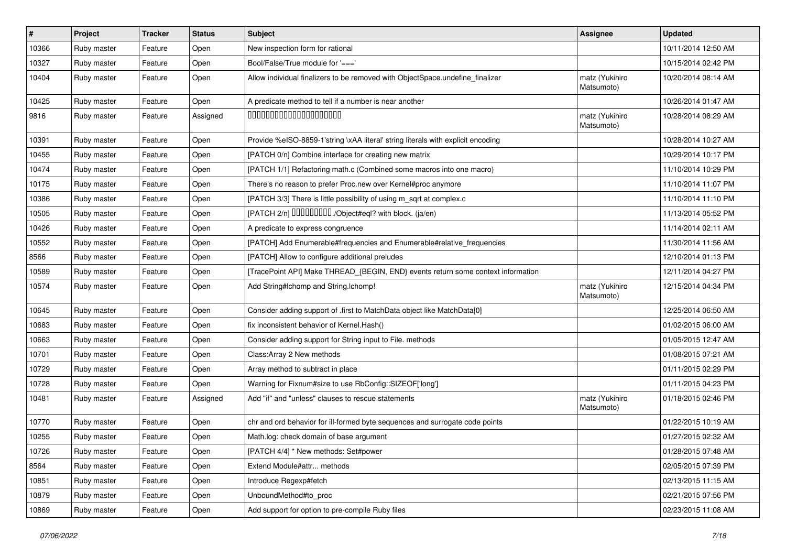| #     | Project     | <b>Tracker</b> | <b>Status</b> | <b>Subject</b>                                                                   | <b>Assignee</b>              | <b>Updated</b>      |
|-------|-------------|----------------|---------------|----------------------------------------------------------------------------------|------------------------------|---------------------|
| 10366 | Ruby master | Feature        | Open          | New inspection form for rational                                                 |                              | 10/11/2014 12:50 AM |
| 10327 | Ruby master | Feature        | Open          | Bool/False/True module for '==='                                                 |                              | 10/15/2014 02:42 PM |
| 10404 | Ruby master | Feature        | Open          | Allow individual finalizers to be removed with ObjectSpace.undefine_finalizer    | matz (Yukihiro<br>Matsumoto) | 10/20/2014 08:14 AM |
| 10425 | Ruby master | Feature        | Open          | A predicate method to tell if a number is near another                           |                              | 10/26/2014 01:47 AM |
| 9816  | Ruby master | Feature        | Assigned      | 00000000000000000000                                                             | matz (Yukihiro<br>Matsumoto) | 10/28/2014 08:29 AM |
| 10391 | Ruby master | Feature        | Open          | Provide %eISO-8859-1'string \xAA literal' string literals with explicit encoding |                              | 10/28/2014 10:27 AM |
| 10455 | Ruby master | Feature        | Open          | [PATCH 0/n] Combine interface for creating new matrix                            |                              | 10/29/2014 10:17 PM |
| 10474 | Ruby master | Feature        | Open          | [PATCH 1/1] Refactoring math.c (Combined some macros into one macro)             |                              | 11/10/2014 10:29 PM |
| 10175 | Ruby master | Feature        | Open          | There's no reason to prefer Proc.new over Kernel#proc anymore                    |                              | 11/10/2014 11:07 PM |
| 10386 | Ruby master | Feature        | Open          | [PATCH 3/3] There is little possibility of using m_sqrt at complex.c             |                              | 11/10/2014 11:10 PM |
| 10505 | Ruby master | Feature        | Open          | [PATCH 2/n] DDDDDDDD./Object#eql? with block. (ja/en)                            |                              | 11/13/2014 05:52 PM |
| 10426 | Ruby master | Feature        | Open          | A predicate to express congruence                                                |                              | 11/14/2014 02:11 AM |
| 10552 | Ruby master | Feature        | Open          | [PATCH] Add Enumerable#frequencies and Enumerable#relative_frequencies           |                              | 11/30/2014 11:56 AM |
| 8566  | Ruby master | Feature        | Open          | [PATCH] Allow to configure additional preludes                                   |                              | 12/10/2014 01:13 PM |
| 10589 | Ruby master | Feature        | Open          | [TracePoint API] Make THREAD_{BEGIN, END} events return some context information |                              | 12/11/2014 04:27 PM |
| 10574 | Ruby master | Feature        | Open          | Add String#Ichomp and String.Ichomp!                                             | matz (Yukihiro<br>Matsumoto) | 12/15/2014 04:34 PM |
| 10645 | Ruby master | Feature        | Open          | Consider adding support of .first to MatchData object like MatchData[0]          |                              | 12/25/2014 06:50 AM |
| 10683 | Ruby master | Feature        | Open          | fix inconsistent behavior of Kernel.Hash()                                       |                              | 01/02/2015 06:00 AM |
| 10663 | Ruby master | Feature        | Open          | Consider adding support for String input to File. methods                        |                              | 01/05/2015 12:47 AM |
| 10701 | Ruby master | Feature        | Open          | Class: Array 2 New methods                                                       |                              | 01/08/2015 07:21 AM |
| 10729 | Ruby master | Feature        | Open          | Array method to subtract in place                                                |                              | 01/11/2015 02:29 PM |
| 10728 | Ruby master | Feature        | Open          | Warning for Fixnum#size to use RbConfig::SIZEOF['long']                          |                              | 01/11/2015 04:23 PM |
| 10481 | Ruby master | Feature        | Assigned      | Add "if" and "unless" clauses to rescue statements                               | matz (Yukihiro<br>Matsumoto) | 01/18/2015 02:46 PM |
| 10770 | Ruby master | Feature        | Open          | chr and ord behavior for ill-formed byte sequences and surrogate code points     |                              | 01/22/2015 10:19 AM |
| 10255 | Ruby master | Feature        | Open          | Math.log: check domain of base argument                                          |                              | 01/27/2015 02:32 AM |
| 10726 | Ruby master | Feature        | Open          | [PATCH 4/4] * New methods: Set#power                                             |                              | 01/28/2015 07:48 AM |
| 8564  | Ruby master | Feature        | Open          | Extend Module#attr methods                                                       |                              | 02/05/2015 07:39 PM |
| 10851 | Ruby master | Feature        | Open          | Introduce Regexp#fetch                                                           |                              | 02/13/2015 11:15 AM |
| 10879 | Ruby master | Feature        | Open          | UnboundMethod#to_proc                                                            |                              | 02/21/2015 07:56 PM |
| 10869 | Ruby master | Feature        | Open          | Add support for option to pre-compile Ruby files                                 |                              | 02/23/2015 11:08 AM |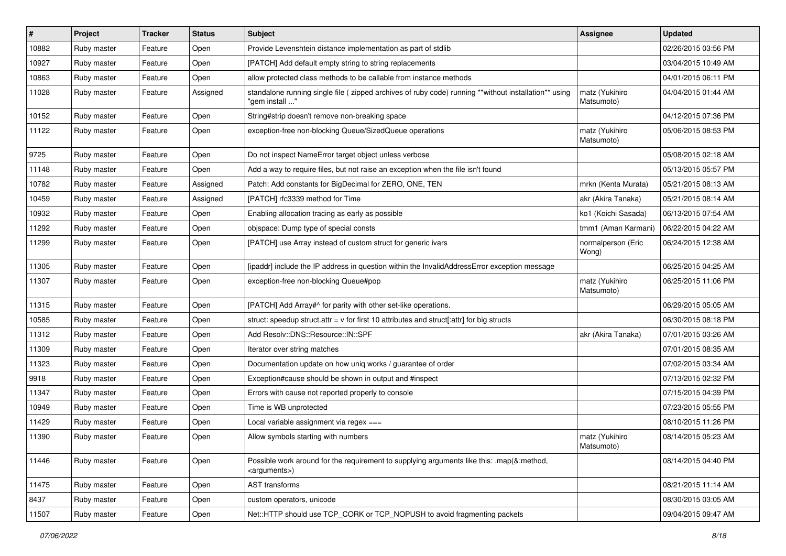| #     | Project     | <b>Tracker</b> | <b>Status</b> | Subject                                                                                                                 | <b>Assignee</b>              | <b>Updated</b>      |
|-------|-------------|----------------|---------------|-------------------------------------------------------------------------------------------------------------------------|------------------------------|---------------------|
| 10882 | Ruby master | Feature        | Open          | Provide Levenshtein distance implementation as part of stdlib                                                           |                              | 02/26/2015 03:56 PM |
| 10927 | Ruby master | Feature        | Open          | [PATCH] Add default empty string to string replacements                                                                 |                              | 03/04/2015 10:49 AM |
| 10863 | Ruby master | Feature        | Open          | allow protected class methods to be callable from instance methods                                                      |                              | 04/01/2015 06:11 PM |
| 11028 | Ruby master | Feature        | Assigned      | standalone running single file ( zipped archives of ruby code) running **without installation** using<br>"gem install " | matz (Yukihiro<br>Matsumoto) | 04/04/2015 01:44 AM |
| 10152 | Ruby master | Feature        | Open          | String#strip doesn't remove non-breaking space                                                                          |                              | 04/12/2015 07:36 PM |
| 11122 | Ruby master | Feature        | Open          | exception-free non-blocking Queue/SizedQueue operations                                                                 | matz (Yukihiro<br>Matsumoto) | 05/06/2015 08:53 PM |
| 9725  | Ruby master | Feature        | Open          | Do not inspect NameError target object unless verbose                                                                   |                              | 05/08/2015 02:18 AM |
| 11148 | Ruby master | Feature        | Open          | Add a way to require files, but not raise an exception when the file isn't found                                        |                              | 05/13/2015 05:57 PM |
| 10782 | Ruby master | Feature        | Assigned      | Patch: Add constants for BigDecimal for ZERO, ONE, TEN                                                                  | mrkn (Kenta Murata)          | 05/21/2015 08:13 AM |
| 10459 | Ruby master | Feature        | Assigned      | [PATCH] rfc3339 method for Time                                                                                         | akr (Akira Tanaka)           | 05/21/2015 08:14 AM |
| 10932 | Ruby master | Feature        | Open          | Enabling allocation tracing as early as possible                                                                        | ko1 (Koichi Sasada)          | 06/13/2015 07:54 AM |
| 11292 | Ruby master | Feature        | Open          | objspace: Dump type of special consts                                                                                   | tmm1 (Aman Karmani)          | 06/22/2015 04:22 AM |
| 11299 | Ruby master | Feature        | Open          | [PATCH] use Array instead of custom struct for generic ivars                                                            | normalperson (Eric<br>Wong)  | 06/24/2015 12:38 AM |
| 11305 | Ruby master | Feature        | Open          | [ipaddr] include the IP address in question within the InvalidAddressError exception message                            |                              | 06/25/2015 04:25 AM |
| 11307 | Ruby master | Feature        | Open          | exception-free non-blocking Queue#pop                                                                                   | matz (Yukihiro<br>Matsumoto) | 06/25/2015 11:06 PM |
| 11315 | Ruby master | Feature        | Open          | [PATCH] Add Array#^ for parity with other set-like operations.                                                          |                              | 06/29/2015 05:05 AM |
| 10585 | Ruby master | Feature        | Open          | struct: speedup struct.attr = $v$ for first 10 attributes and struct[:attr] for big structs                             |                              | 06/30/2015 08:18 PM |
| 11312 | Ruby master | Feature        | Open          | Add Resolv::DNS::Resource::IN::SPF                                                                                      | akr (Akira Tanaka)           | 07/01/2015 03:26 AM |
| 11309 | Ruby master | Feature        | Open          | Iterator over string matches                                                                                            |                              | 07/01/2015 08:35 AM |
| 11323 | Ruby master | Feature        | Open          | Documentation update on how uniq works / guarantee of order                                                             |                              | 07/02/2015 03:34 AM |
| 9918  | Ruby master | Feature        | Open          | Exception#cause should be shown in output and #inspect                                                                  |                              | 07/13/2015 02:32 PM |
| 11347 | Ruby master | Feature        | Open          | Errors with cause not reported properly to console                                                                      |                              | 07/15/2015 04:39 PM |
| 10949 | Ruby master | Feature        | Open          | Time is WB unprotected                                                                                                  |                              | 07/23/2015 05:55 PM |
| 11429 | Ruby master | Feature        | Open          | Local variable assignment via regex ===                                                                                 |                              | 08/10/2015 11:26 PM |
| 11390 | Ruby master | Feature        | Open          | Allow symbols starting with numbers                                                                                     | matz (Yukihiro<br>Matsumoto) | 08/14/2015 05:23 AM |
| 11446 | Ruby master | Feature        | Open          | Possible work around for the requirement to supplying arguments like this: .map(&:method,<br><arguments>)</arguments>   |                              | 08/14/2015 04:40 PM |
| 11475 | Ruby master | Feature        | Open          | AST transforms                                                                                                          |                              | 08/21/2015 11:14 AM |
| 8437  | Ruby master | Feature        | Open          | custom operators, unicode                                                                                               |                              | 08/30/2015 03:05 AM |
| 11507 | Ruby master | Feature        | Open          | Net::HTTP should use TCP_CORK or TCP_NOPUSH to avoid fragmenting packets                                                |                              | 09/04/2015 09:47 AM |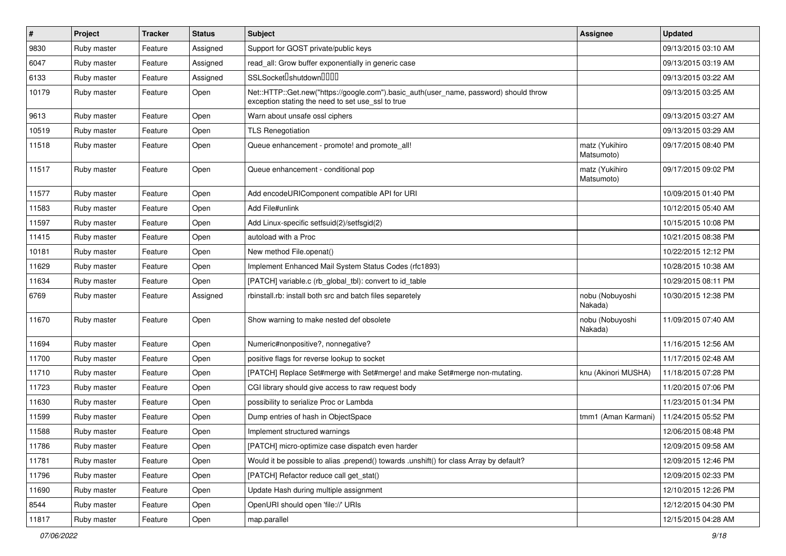| $\sharp$ | Project     | <b>Tracker</b> | <b>Status</b> | Subject                                                                                                                                    | <b>Assignee</b>              | <b>Updated</b>      |
|----------|-------------|----------------|---------------|--------------------------------------------------------------------------------------------------------------------------------------------|------------------------------|---------------------|
| 9830     | Ruby master | Feature        | Assigned      | Support for GOST private/public keys                                                                                                       |                              | 09/13/2015 03:10 AM |
| 6047     | Ruby master | Feature        | Assigned      | read_all: Grow buffer exponentially in generic case                                                                                        |                              | 09/13/2015 03:19 AM |
| 6133     | Ruby master | Feature        | Assigned      | SSLSocket <sup>[</sup> shutdown <sup>[11]</sup>                                                                                            |                              | 09/13/2015 03:22 AM |
| 10179    | Ruby master | Feature        | Open          | Net::HTTP::Get.new("https://google.com").basic_auth(user_name, password) should throw<br>exception stating the need to set use_ssl to true |                              | 09/13/2015 03:25 AM |
| 9613     | Ruby master | Feature        | Open          | Warn about unsafe ossl ciphers                                                                                                             |                              | 09/13/2015 03:27 AM |
| 10519    | Ruby master | Feature        | Open          | <b>TLS Renegotiation</b>                                                                                                                   |                              | 09/13/2015 03:29 AM |
| 11518    | Ruby master | Feature        | Open          | Queue enhancement - promote! and promote all!                                                                                              | matz (Yukihiro<br>Matsumoto) | 09/17/2015 08:40 PM |
| 11517    | Ruby master | Feature        | Open          | Queue enhancement - conditional pop                                                                                                        | matz (Yukihiro<br>Matsumoto) | 09/17/2015 09:02 PM |
| 11577    | Ruby master | Feature        | Open          | Add encodeURIComponent compatible API for URI                                                                                              |                              | 10/09/2015 01:40 PM |
| 11583    | Ruby master | Feature        | Open          | Add File#unlink                                                                                                                            |                              | 10/12/2015 05:40 AM |
| 11597    | Ruby master | Feature        | Open          | Add Linux-specific setfsuid(2)/setfsgid(2)                                                                                                 |                              | 10/15/2015 10:08 PM |
| 11415    | Ruby master | Feature        | Open          | autoload with a Proc                                                                                                                       |                              | 10/21/2015 08:38 PM |
| 10181    | Ruby master | Feature        | Open          | New method File.openat()                                                                                                                   |                              | 10/22/2015 12:12 PM |
| 11629    | Ruby master | Feature        | Open          | Implement Enhanced Mail System Status Codes (rfc1893)                                                                                      |                              | 10/28/2015 10:38 AM |
| 11634    | Ruby master | Feature        | Open          | [PATCH] variable.c (rb_global_tbl): convert to id_table                                                                                    |                              | 10/29/2015 08:11 PM |
| 6769     | Ruby master | Feature        | Assigned      | rbinstall.rb: install both src and batch files separetely                                                                                  | nobu (Nobuyoshi<br>Nakada)   | 10/30/2015 12:38 PM |
| 11670    | Ruby master | Feature        | Open          | Show warning to make nested def obsolete                                                                                                   | nobu (Nobuyoshi<br>Nakada)   | 11/09/2015 07:40 AM |
| 11694    | Ruby master | Feature        | Open          | Numeric#nonpositive?, nonnegative?                                                                                                         |                              | 11/16/2015 12:56 AM |
| 11700    | Ruby master | Feature        | Open          | positive flags for reverse lookup to socket                                                                                                |                              | 11/17/2015 02:48 AM |
| 11710    | Ruby master | Feature        | Open          | [PATCH] Replace Set#merge with Set#merge! and make Set#merge non-mutating.                                                                 | knu (Akinori MUSHA)          | 11/18/2015 07:28 PM |
| 11723    | Ruby master | Feature        | Open          | CGI library should give access to raw request body                                                                                         |                              | 11/20/2015 07:06 PM |
| 11630    | Ruby master | Feature        | Open          | possibility to serialize Proc or Lambda                                                                                                    |                              | 11/23/2015 01:34 PM |
| 11599    | Ruby master | Feature        | Open          | Dump entries of hash in ObjectSpace                                                                                                        | tmm1 (Aman Karmani)          | 11/24/2015 05:52 PM |
| 11588    | Ruby master | Feature        | Open          | Implement structured warnings                                                                                                              |                              | 12/06/2015 08:48 PM |
| 11786    | Ruby master | Feature        | Open          | [PATCH] micro-optimize case dispatch even harder                                                                                           |                              | 12/09/2015 09:58 AM |
| 11781    | Ruby master | Feature        | Open          | Would it be possible to alias .prepend() towards .unshift() for class Array by default?                                                    |                              | 12/09/2015 12:46 PM |
| 11796    | Ruby master | Feature        | Open          | [PATCH] Refactor reduce call get_stat()                                                                                                    |                              | 12/09/2015 02:33 PM |
| 11690    | Ruby master | Feature        | Open          | Update Hash during multiple assignment                                                                                                     |                              | 12/10/2015 12:26 PM |
| 8544     | Ruby master | Feature        | Open          | OpenURI should open 'file://' URIs                                                                                                         |                              | 12/12/2015 04:30 PM |
| 11817    | Ruby master | Feature        | Open          | map.parallel                                                                                                                               |                              | 12/15/2015 04:28 AM |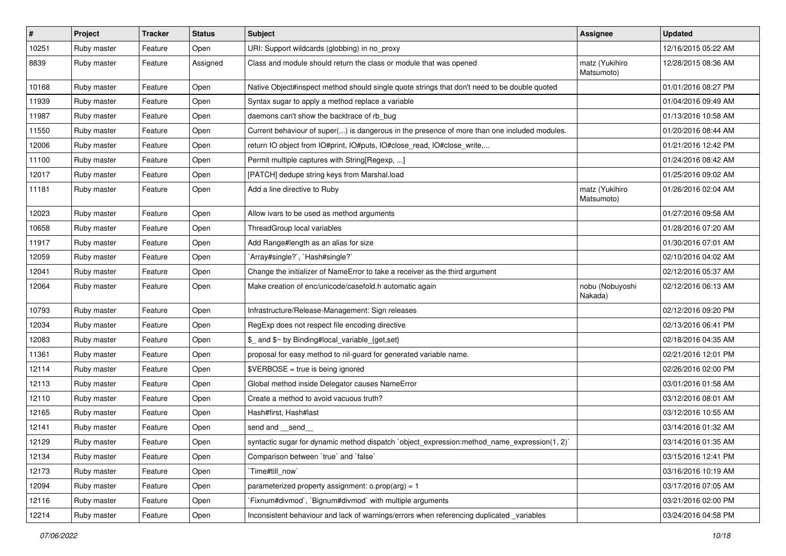| $\vert$ # | Project     | <b>Tracker</b> | <b>Status</b> | <b>Subject</b>                                                                               | <b>Assignee</b>              | <b>Updated</b>      |
|-----------|-------------|----------------|---------------|----------------------------------------------------------------------------------------------|------------------------------|---------------------|
| 10251     | Ruby master | Feature        | Open          | URI: Support wildcards (globbing) in no_proxy                                                |                              | 12/16/2015 05:22 AM |
| 8839      | Ruby master | Feature        | Assigned      | Class and module should return the class or module that was opened                           | matz (Yukihiro<br>Matsumoto) | 12/28/2015 08:36 AM |
| 10168     | Ruby master | Feature        | Open          | Native Object#inspect method should single quote strings that don't need to be double quoted |                              | 01/01/2016 08:27 PM |
| 11939     | Ruby master | Feature        | Open          | Syntax sugar to apply a method replace a variable                                            |                              | 01/04/2016 09:49 AM |
| 11987     | Ruby master | Feature        | Open          | daemons can't show the backtrace of rb_bug                                                   |                              | 01/13/2016 10:58 AM |
| 11550     | Ruby master | Feature        | Open          | Current behaviour of super() is dangerous in the presence of more than one included modules. |                              | 01/20/2016 08:44 AM |
| 12006     | Ruby master | Feature        | Open          | return IO object from IO#print, IO#puts, IO#close_read, IO#close_write,                      |                              | 01/21/2016 12:42 PM |
| 11100     | Ruby master | Feature        | Open          | Permit multiple captures with String[Regexp, ]                                               |                              | 01/24/2016 08:42 AM |
| 12017     | Ruby master | Feature        | Open          | [PATCH] dedupe string keys from Marshal.load                                                 |                              | 01/25/2016 09:02 AM |
| 11181     | Ruby master | Feature        | Open          | Add a line directive to Ruby                                                                 | matz (Yukihiro<br>Matsumoto) | 01/26/2016 02:04 AM |
| 12023     | Ruby master | Feature        | Open          | Allow ivars to be used as method arguments                                                   |                              | 01/27/2016 09:58 AM |
| 10658     | Ruby master | Feature        | Open          | ThreadGroup local variables                                                                  |                              | 01/28/2016 07:20 AM |
| 11917     | Ruby master | Feature        | Open          | Add Range#length as an alias for size                                                        |                              | 01/30/2016 07:01 AM |
| 12059     | Ruby master | Feature        | Open          | `Array#single?`, `Hash#single?`                                                              |                              | 02/10/2016 04:02 AM |
| 12041     | Ruby master | Feature        | Open          | Change the initializer of NameError to take a receiver as the third argument                 |                              | 02/12/2016 05:37 AM |
| 12064     | Ruby master | Feature        | Open          | Make creation of enc/unicode/casefold.h automatic again                                      | nobu (Nobuyoshi<br>Nakada)   | 02/12/2016 06:13 AM |
| 10793     | Ruby master | Feature        | Open          | Infrastructure/Release-Management: Sign releases                                             |                              | 02/12/2016 09:20 PM |
| 12034     | Ruby master | Feature        | Open          | RegExp does not respect file encoding directive                                              |                              | 02/13/2016 06:41 PM |
| 12083     | Ruby master | Feature        | Open          | \$_ and \$~ by Binding#local_variable_{get,set}                                              |                              | 02/18/2016 04:35 AM |
| 11361     | Ruby master | Feature        | Open          | proposal for easy method to nil-guard for generated variable name.                           |                              | 02/21/2016 12:01 PM |
| 12114     | Ruby master | Feature        | Open          | \$VERBOSE = true is being ignored                                                            |                              | 02/26/2016 02:00 PM |
| 12113     | Ruby master | Feature        | Open          | Global method inside Delegator causes NameError                                              |                              | 03/01/2016 01:58 AM |
| 12110     | Ruby master | Feature        | Open          | Create a method to avoid vacuous truth?                                                      |                              | 03/12/2016 08:01 AM |
| 12165     | Ruby master | Feature        | Open          | Hash#first, Hash#last                                                                        |                              | 03/12/2016 10:55 AM |
| 12141     | Ruby master | Feature        | Open          | send and __send_                                                                             |                              | 03/14/2016 01:32 AM |
| 12129     | Ruby master | Feature        | Open          | syntactic sugar for dynamic method dispatch `object_expression:method_name_expression(1, 2)` |                              | 03/14/2016 01:35 AM |
| 12134     | Ruby master | Feature        | Open          | Comparison between 'true' and 'false'                                                        |                              | 03/15/2016 12:41 PM |
| 12173     | Ruby master | Feature        | Open          | Time#till_now`                                                                               |                              | 03/16/2016 10:19 AM |
| 12094     | Ruby master | Feature        | Open          | parameterized property assignment: $o.pop(arg) = 1$                                          |                              | 03/17/2016 07:05 AM |
| 12116     | Ruby master | Feature        | Open          | Fixnum#divmod`, `Bignum#divmod` with multiple arguments                                      |                              | 03/21/2016 02:00 PM |
| 12214     | Ruby master | Feature        | Open          | Inconsistent behaviour and lack of warnings/errors when referencing duplicated _variables    |                              | 03/24/2016 04:58 PM |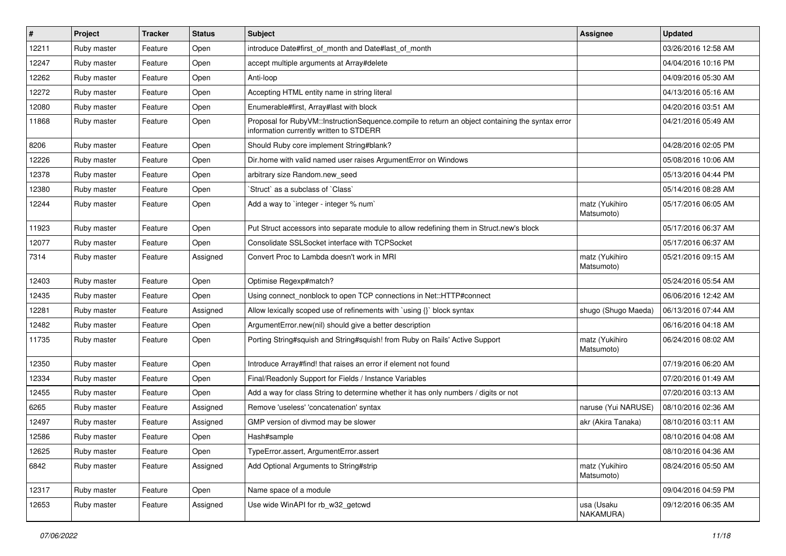| #     | Project     | <b>Tracker</b> | <b>Status</b> | Subject                                                                                                                                     | <b>Assignee</b>              | <b>Updated</b>      |
|-------|-------------|----------------|---------------|---------------------------------------------------------------------------------------------------------------------------------------------|------------------------------|---------------------|
| 12211 | Ruby master | Feature        | Open          | introduce Date#first of month and Date#last of month                                                                                        |                              | 03/26/2016 12:58 AM |
| 12247 | Ruby master | Feature        | Open          | accept multiple arguments at Array#delete                                                                                                   |                              | 04/04/2016 10:16 PM |
| 12262 | Ruby master | Feature        | Open          | Anti-loop                                                                                                                                   |                              | 04/09/2016 05:30 AM |
| 12272 | Ruby master | Feature        | Open          | Accepting HTML entity name in string literal                                                                                                |                              | 04/13/2016 05:16 AM |
| 12080 | Ruby master | Feature        | Open          | Enumerable#first, Array#last with block                                                                                                     |                              | 04/20/2016 03:51 AM |
| 11868 | Ruby master | Feature        | Open          | Proposal for RubyVM::InstructionSequence.compile to return an object containing the syntax error<br>information currently written to STDERR |                              | 04/21/2016 05:49 AM |
| 8206  | Ruby master | Feature        | Open          | Should Ruby core implement String#blank?                                                                                                    |                              | 04/28/2016 02:05 PM |
| 12226 | Ruby master | Feature        | Open          | Dir.home with valid named user raises ArgumentError on Windows                                                                              |                              | 05/08/2016 10:06 AM |
| 12378 | Ruby master | Feature        | Open          | arbitrary size Random.new_seed                                                                                                              |                              | 05/13/2016 04:44 PM |
| 12380 | Ruby master | Feature        | Open          | 'Struct' as a subclass of 'Class'                                                                                                           |                              | 05/14/2016 08:28 AM |
| 12244 | Ruby master | Feature        | Open          | Add a way to `integer - integer % num`                                                                                                      | matz (Yukihiro<br>Matsumoto) | 05/17/2016 06:05 AM |
| 11923 | Ruby master | Feature        | Open          | Put Struct accessors into separate module to allow redefining them in Struct.new's block                                                    |                              | 05/17/2016 06:37 AM |
| 12077 | Ruby master | Feature        | Open          | Consolidate SSLSocket interface with TCPSocket                                                                                              |                              | 05/17/2016 06:37 AM |
| 7314  | Ruby master | Feature        | Assigned      | Convert Proc to Lambda doesn't work in MRI                                                                                                  | matz (Yukihiro<br>Matsumoto) | 05/21/2016 09:15 AM |
| 12403 | Ruby master | Feature        | Open          | Optimise Regexp#match?                                                                                                                      |                              | 05/24/2016 05:54 AM |
| 12435 | Ruby master | Feature        | Open          | Using connect_nonblock to open TCP connections in Net::HTTP#connect                                                                         |                              | 06/06/2016 12:42 AM |
| 12281 | Ruby master | Feature        | Assigned      | Allow lexically scoped use of refinements with `using {}` block syntax                                                                      | shugo (Shugo Maeda)          | 06/13/2016 07:44 AM |
| 12482 | Ruby master | Feature        | Open          | ArgumentError.new(nil) should give a better description                                                                                     |                              | 06/16/2016 04:18 AM |
| 11735 | Ruby master | Feature        | Open          | Porting String#squish and String#squish! from Ruby on Rails' Active Support                                                                 | matz (Yukihiro<br>Matsumoto) | 06/24/2016 08:02 AM |
| 12350 | Ruby master | Feature        | Open          | Introduce Array#find! that raises an error if element not found                                                                             |                              | 07/19/2016 06:20 AM |
| 12334 | Ruby master | Feature        | Open          | Final/Readonly Support for Fields / Instance Variables                                                                                      |                              | 07/20/2016 01:49 AM |
| 12455 | Ruby master | Feature        | Open          | Add a way for class String to determine whether it has only numbers / digits or not                                                         |                              | 07/20/2016 03:13 AM |
| 6265  | Ruby master | Feature        | Assigned      | Remove 'useless' 'concatenation' syntax                                                                                                     | naruse (Yui NARUSE)          | 08/10/2016 02:36 AM |
| 12497 | Ruby master | Feature        | Assigned      | GMP version of divmod may be slower                                                                                                         | akr (Akira Tanaka)           | 08/10/2016 03:11 AM |
| 12586 | Ruby master | Feature        | Open          | Hash#sample                                                                                                                                 |                              | 08/10/2016 04:08 AM |
| 12625 | Ruby master | Feature        | Open          | TypeError.assert, ArgumentError.assert                                                                                                      |                              | 08/10/2016 04:36 AM |
| 6842  | Ruby master | Feature        | Assigned      | Add Optional Arguments to String#strip                                                                                                      | matz (Yukihiro<br>Matsumoto) | 08/24/2016 05:50 AM |
| 12317 | Ruby master | Feature        | Open          | Name space of a module                                                                                                                      |                              | 09/04/2016 04:59 PM |
| 12653 | Ruby master | Feature        | Assigned      | Use wide WinAPI for rb_w32_getcwd                                                                                                           | usa (Usaku<br>NAKAMURA)      | 09/12/2016 06:35 AM |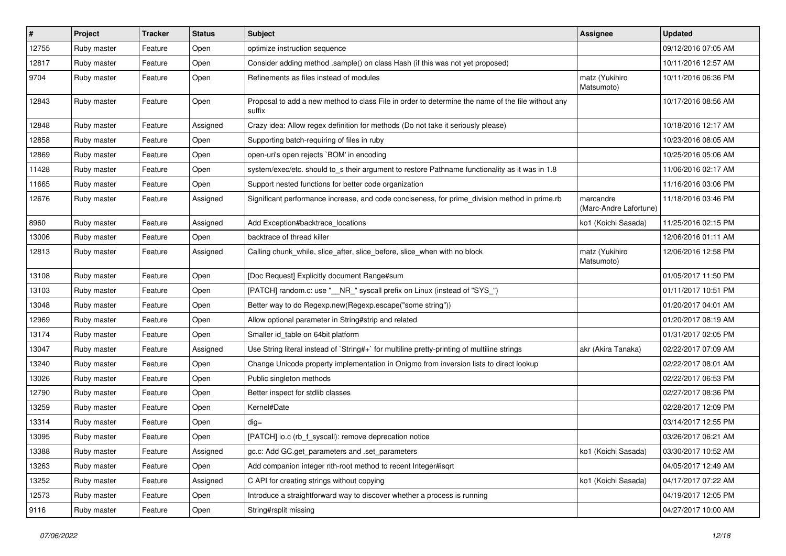| $\sharp$ | Project     | <b>Tracker</b> | <b>Status</b> | <b>Subject</b>                                                                                              | <b>Assignee</b>                     | <b>Updated</b>      |
|----------|-------------|----------------|---------------|-------------------------------------------------------------------------------------------------------------|-------------------------------------|---------------------|
| 12755    | Ruby master | Feature        | Open          | optimize instruction sequence                                                                               |                                     | 09/12/2016 07:05 AM |
| 12817    | Ruby master | Feature        | Open          | Consider adding method .sample() on class Hash (if this was not yet proposed)                               |                                     | 10/11/2016 12:57 AM |
| 9704     | Ruby master | Feature        | Open          | Refinements as files instead of modules                                                                     | matz (Yukihiro<br>Matsumoto)        | 10/11/2016 06:36 PM |
| 12843    | Ruby master | Feature        | Open          | Proposal to add a new method to class File in order to determine the name of the file without any<br>suffix |                                     | 10/17/2016 08:56 AM |
| 12848    | Ruby master | Feature        | Assigned      | Crazy idea: Allow regex definition for methods (Do not take it seriously please)                            |                                     | 10/18/2016 12:17 AM |
| 12858    | Ruby master | Feature        | Open          | Supporting batch-requiring of files in ruby                                                                 |                                     | 10/23/2016 08:05 AM |
| 12869    | Ruby master | Feature        | Open          | open-uri's open rejects `BOM' in encoding                                                                   |                                     | 10/25/2016 05:06 AM |
| 11428    | Ruby master | Feature        | Open          | system/exec/etc. should to_s their argument to restore Pathname functionality as it was in 1.8              |                                     | 11/06/2016 02:17 AM |
| 11665    | Ruby master | Feature        | Open          | Support nested functions for better code organization                                                       |                                     | 11/16/2016 03:06 PM |
| 12676    | Ruby master | Feature        | Assigned      | Significant performance increase, and code conciseness, for prime_division method in prime.rb               | marcandre<br>(Marc-Andre Lafortune) | 11/18/2016 03:46 PM |
| 8960     | Ruby master | Feature        | Assigned      | Add Exception#backtrace_locations                                                                           | ko1 (Koichi Sasada)                 | 11/25/2016 02:15 PM |
| 13006    | Ruby master | Feature        | Open          | backtrace of thread killer                                                                                  |                                     | 12/06/2016 01:11 AM |
| 12813    | Ruby master | Feature        | Assigned      | Calling chunk_while, slice_after, slice_before, slice_when with no block                                    | matz (Yukihiro<br>Matsumoto)        | 12/06/2016 12:58 PM |
| 13108    | Ruby master | Feature        | Open          | [Doc Request] Explicitly document Range#sum                                                                 |                                     | 01/05/2017 11:50 PM |
| 13103    | Ruby master | Feature        | Open          | [PATCH] random.c: use "__NR_" syscall prefix on Linux (instead of "SYS_")                                   |                                     | 01/11/2017 10:51 PM |
| 13048    | Ruby master | Feature        | Open          | Better way to do Regexp.new(Regexp.escape("some string"))                                                   |                                     | 01/20/2017 04:01 AM |
| 12969    | Ruby master | Feature        | Open          | Allow optional parameter in String#strip and related                                                        |                                     | 01/20/2017 08:19 AM |
| 13174    | Ruby master | Feature        | Open          | Smaller id_table on 64bit platform                                                                          |                                     | 01/31/2017 02:05 PM |
| 13047    | Ruby master | Feature        | Assigned      | Use String literal instead of `String#+` for multiline pretty-printing of multiline strings                 | akr (Akira Tanaka)                  | 02/22/2017 07:09 AM |
| 13240    | Ruby master | Feature        | Open          | Change Unicode property implementation in Onigmo from inversion lists to direct lookup                      |                                     | 02/22/2017 08:01 AM |
| 13026    | Ruby master | Feature        | Open          | Public singleton methods                                                                                    |                                     | 02/22/2017 06:53 PM |
| 12790    | Ruby master | Feature        | Open          | Better inspect for stdlib classes                                                                           |                                     | 02/27/2017 08:36 PM |
| 13259    | Ruby master | Feature        | Open          | Kernel#Date                                                                                                 |                                     | 02/28/2017 12:09 PM |
| 13314    | Ruby master | Feature        | Open          | $dig =$                                                                                                     |                                     | 03/14/2017 12:55 PM |
| 13095    | Ruby master | Feature        | Open          | [PATCH] io.c (rb_f_syscall): remove deprecation notice                                                      |                                     | 03/26/2017 06:21 AM |
| 13388    | Ruby master | Feature        | Assigned      | gc.c: Add GC.get_parameters and .set_parameters                                                             | ko1 (Koichi Sasada)                 | 03/30/2017 10:52 AM |
| 13263    | Ruby master | Feature        | Open          | Add companion integer nth-root method to recent Integer#isqrt                                               |                                     | 04/05/2017 12:49 AM |
| 13252    | Ruby master | Feature        | Assigned      | C API for creating strings without copying                                                                  | ko1 (Koichi Sasada)                 | 04/17/2017 07:22 AM |
| 12573    | Ruby master | Feature        | Open          | Introduce a straightforward way to discover whether a process is running                                    |                                     | 04/19/2017 12:05 PM |
| 9116     | Ruby master | Feature        | Open          | String#rsplit missing                                                                                       |                                     | 04/27/2017 10:00 AM |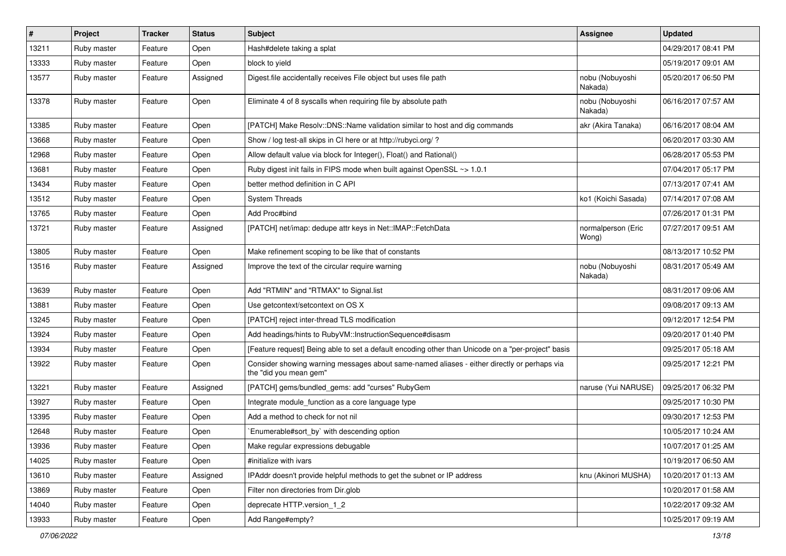| $\pmb{\#}$ | Project     | <b>Tracker</b> | <b>Status</b> | Subject                                                                                                               | <b>Assignee</b>             | <b>Updated</b>      |
|------------|-------------|----------------|---------------|-----------------------------------------------------------------------------------------------------------------------|-----------------------------|---------------------|
| 13211      | Ruby master | Feature        | Open          | Hash#delete taking a splat                                                                                            |                             | 04/29/2017 08:41 PM |
| 13333      | Ruby master | Feature        | Open          | block to yield                                                                                                        |                             | 05/19/2017 09:01 AM |
| 13577      | Ruby master | Feature        | Assigned      | Digest file accidentally receives File object but uses file path                                                      | nobu (Nobuyoshi<br>Nakada)  | 05/20/2017 06:50 PM |
| 13378      | Ruby master | Feature        | Open          | Eliminate 4 of 8 syscalls when requiring file by absolute path                                                        | nobu (Nobuyoshi<br>Nakada)  | 06/16/2017 07:57 AM |
| 13385      | Ruby master | Feature        | Open          | [PATCH] Make Resolv::DNS::Name validation similar to host and dig commands                                            | akr (Akira Tanaka)          | 06/16/2017 08:04 AM |
| 13668      | Ruby master | Feature        | Open          | Show / log test-all skips in CI here or at http://rubyci.org/?                                                        |                             | 06/20/2017 03:30 AM |
| 12968      | Ruby master | Feature        | Open          | Allow default value via block for Integer(), Float() and Rational()                                                   |                             | 06/28/2017 05:53 PM |
| 13681      | Ruby master | Feature        | Open          | Ruby digest init fails in FIPS mode when built against OpenSSL ~> 1.0.1                                               |                             | 07/04/2017 05:17 PM |
| 13434      | Ruby master | Feature        | Open          | better method definition in C API                                                                                     |                             | 07/13/2017 07:41 AM |
| 13512      | Ruby master | Feature        | Open          | <b>System Threads</b>                                                                                                 | ko1 (Koichi Sasada)         | 07/14/2017 07:08 AM |
| 13765      | Ruby master | Feature        | Open          | Add Proc#bind                                                                                                         |                             | 07/26/2017 01:31 PM |
| 13721      | Ruby master | Feature        | Assigned      | [PATCH] net/imap: dedupe attr keys in Net::IMAP::FetchData                                                            | normalperson (Eric<br>Wong) | 07/27/2017 09:51 AM |
| 13805      | Ruby master | Feature        | Open          | Make refinement scoping to be like that of constants                                                                  |                             | 08/13/2017 10:52 PM |
| 13516      | Ruby master | Feature        | Assigned      | Improve the text of the circular require warning                                                                      | nobu (Nobuyoshi<br>Nakada)  | 08/31/2017 05:49 AM |
| 13639      | Ruby master | Feature        | Open          | Add "RTMIN" and "RTMAX" to Signal.list                                                                                |                             | 08/31/2017 09:06 AM |
| 13881      | Ruby master | Feature        | Open          | Use getcontext/setcontext on OS X                                                                                     |                             | 09/08/2017 09:13 AM |
| 13245      | Ruby master | Feature        | Open          | [PATCH] reject inter-thread TLS modification                                                                          |                             | 09/12/2017 12:54 PM |
| 13924      | Ruby master | Feature        | Open          | Add headings/hints to RubyVM::InstructionSequence#disasm                                                              |                             | 09/20/2017 01:40 PM |
| 13934      | Ruby master | Feature        | Open          | [Feature request] Being able to set a default encoding other than Unicode on a "per-project" basis                    |                             | 09/25/2017 05:18 AM |
| 13922      | Ruby master | Feature        | Open          | Consider showing warning messages about same-named aliases - either directly or perhaps via<br>the "did you mean gem" |                             | 09/25/2017 12:21 PM |
| 13221      | Ruby master | Feature        | Assigned      | [PATCH] gems/bundled_gems: add "curses" RubyGem                                                                       | naruse (Yui NARUSE)         | 09/25/2017 06:32 PM |
| 13927      | Ruby master | Feature        | Open          | Integrate module_function as a core language type                                                                     |                             | 09/25/2017 10:30 PM |
| 13395      | Ruby master | Feature        | Open          | Add a method to check for not nil                                                                                     |                             | 09/30/2017 12:53 PM |
| 12648      | Ruby master | Feature        | Open          | Enumerable#sort_by` with descending option                                                                            |                             | 10/05/2017 10:24 AM |
| 13936      | Ruby master | Feature        | Open          | Make regular expressions debugable                                                                                    |                             | 10/07/2017 01:25 AM |
| 14025      | Ruby master | Feature        | Open          | #initialize with ivars                                                                                                |                             | 10/19/2017 06:50 AM |
| 13610      | Ruby master | Feature        | Assigned      | IPAddr doesn't provide helpful methods to get the subnet or IP address                                                | knu (Akinori MUSHA)         | 10/20/2017 01:13 AM |
| 13869      | Ruby master | Feature        | Open          | Filter non directories from Dir.glob                                                                                  |                             | 10/20/2017 01:58 AM |
| 14040      | Ruby master | Feature        | Open          | deprecate HTTP.version 1 2                                                                                            |                             | 10/22/2017 09:32 AM |
| 13933      | Ruby master | Feature        | Open          | Add Range#empty?                                                                                                      |                             | 10/25/2017 09:19 AM |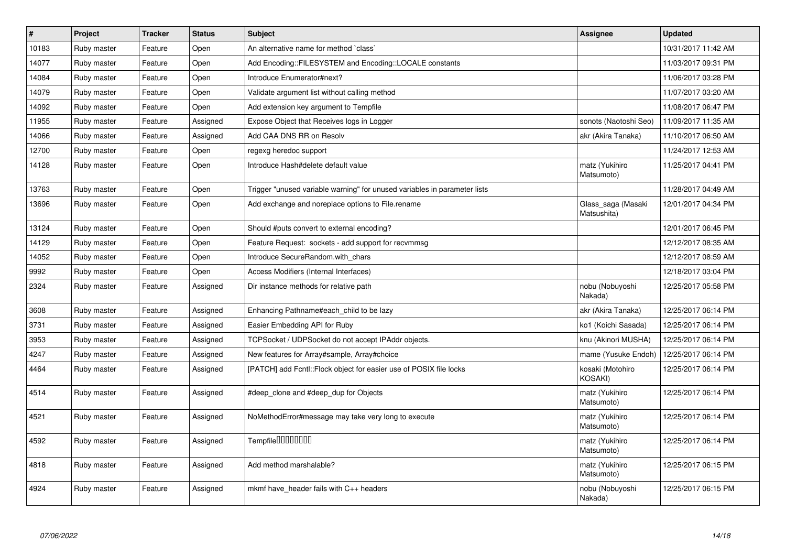| $\vert$ # | Project     | <b>Tracker</b> | <b>Status</b> | <b>Subject</b>                                                            | Assignee                          | <b>Updated</b>      |
|-----------|-------------|----------------|---------------|---------------------------------------------------------------------------|-----------------------------------|---------------------|
| 10183     | Ruby master | Feature        | Open          | An alternative name for method `class`                                    |                                   | 10/31/2017 11:42 AM |
| 14077     | Ruby master | Feature        | Open          | Add Encoding::FILESYSTEM and Encoding::LOCALE constants                   |                                   | 11/03/2017 09:31 PM |
| 14084     | Ruby master | Feature        | Open          | Introduce Enumerator#next?                                                |                                   | 11/06/2017 03:28 PM |
| 14079     | Ruby master | Feature        | Open          | Validate argument list without calling method                             |                                   | 11/07/2017 03:20 AM |
| 14092     | Ruby master | Feature        | Open          | Add extension key argument to Tempfile                                    |                                   | 11/08/2017 06:47 PM |
| 11955     | Ruby master | Feature        | Assigned      | Expose Object that Receives logs in Logger                                | sonots (Naotoshi Seo)             | 11/09/2017 11:35 AM |
| 14066     | Ruby master | Feature        | Assigned      | Add CAA DNS RR on Resolv                                                  | akr (Akira Tanaka)                | 11/10/2017 06:50 AM |
| 12700     | Ruby master | Feature        | Open          | regexg heredoc support                                                    |                                   | 11/24/2017 12:53 AM |
| 14128     | Ruby master | Feature        | Open          | Introduce Hash#delete default value                                       | matz (Yukihiro<br>Matsumoto)      | 11/25/2017 04:41 PM |
| 13763     | Ruby master | Feature        | Open          | Trigger "unused variable warning" for unused variables in parameter lists |                                   | 11/28/2017 04:49 AM |
| 13696     | Ruby master | Feature        | Open          | Add exchange and noreplace options to File.rename                         | Glass_saga (Masaki<br>Matsushita) | 12/01/2017 04:34 PM |
| 13124     | Ruby master | Feature        | Open          | Should #puts convert to external encoding?                                |                                   | 12/01/2017 06:45 PM |
| 14129     | Ruby master | Feature        | Open          | Feature Request: sockets - add support for recvmmsg                       |                                   | 12/12/2017 08:35 AM |
| 14052     | Ruby master | Feature        | Open          | Introduce SecureRandom.with_chars                                         |                                   | 12/12/2017 08:59 AM |
| 9992      | Ruby master | Feature        | Open          | Access Modifiers (Internal Interfaces)                                    |                                   | 12/18/2017 03:04 PM |
| 2324      | Ruby master | Feature        | Assigned      | Dir instance methods for relative path                                    | nobu (Nobuyoshi<br>Nakada)        | 12/25/2017 05:58 PM |
| 3608      | Ruby master | Feature        | Assigned      | Enhancing Pathname#each child to be lazy                                  | akr (Akira Tanaka)                | 12/25/2017 06:14 PM |
| 3731      | Ruby master | Feature        | Assigned      | Easier Embedding API for Ruby                                             | ko1 (Koichi Sasada)               | 12/25/2017 06:14 PM |
| 3953      | Ruby master | Feature        | Assigned      | TCPSocket / UDPSocket do not accept IPAddr objects.                       | knu (Akinori MUSHA)               | 12/25/2017 06:14 PM |
| 4247      | Ruby master | Feature        | Assigned      | New features for Array#sample, Array#choice                               | mame (Yusuke Endoh)               | 12/25/2017 06:14 PM |
| 4464      | Ruby master | Feature        | Assigned      | [PATCH] add Fcntl:: Flock object for easier use of POSIX file locks       | kosaki (Motohiro<br>KOSAKI)       | 12/25/2017 06:14 PM |
| 4514      | Ruby master | Feature        | Assigned      | #deep_clone and #deep_dup for Objects                                     | matz (Yukihiro<br>Matsumoto)      | 12/25/2017 06:14 PM |
| 4521      | Ruby master | Feature        | Assigned      | NoMethodError#message may take very long to execute                       | matz (Yukihiro<br>Matsumoto)      | 12/25/2017 06:14 PM |
| 4592      | Ruby master | Feature        | Assigned      | Tempfile0000000                                                           | matz (Yukihiro<br>Matsumoto)      | 12/25/2017 06:14 PM |
| 4818      | Ruby master | Feature        | Assigned      | Add method marshalable?                                                   | matz (Yukihiro<br>Matsumoto)      | 12/25/2017 06:15 PM |
| 4924      | Ruby master | Feature        | Assigned      | mkmf have header fails with C++ headers                                   | nobu (Nobuyoshi<br>Nakada)        | 12/25/2017 06:15 PM |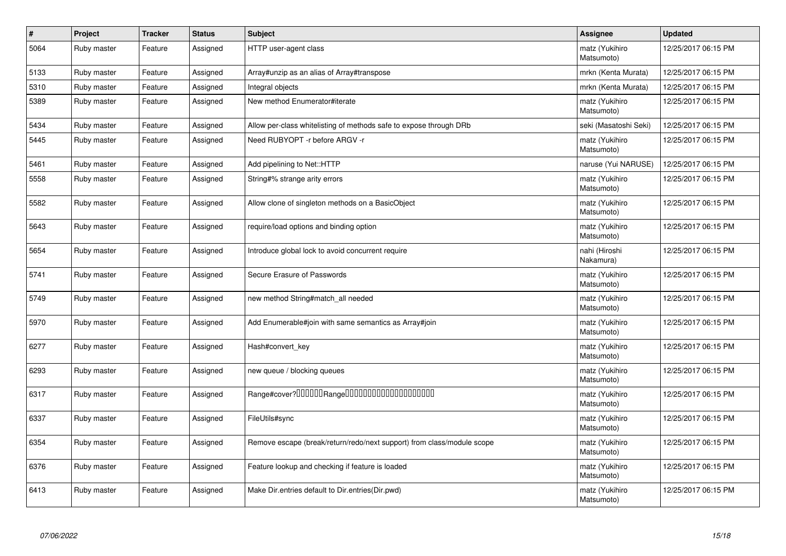| $\pmb{\#}$ | Project     | <b>Tracker</b> | <b>Status</b> | <b>Subject</b>                                                         | Assignee                     | <b>Updated</b>      |
|------------|-------------|----------------|---------------|------------------------------------------------------------------------|------------------------------|---------------------|
| 5064       | Ruby master | Feature        | Assigned      | HTTP user-agent class                                                  | matz (Yukihiro<br>Matsumoto) | 12/25/2017 06:15 PM |
| 5133       | Ruby master | Feature        | Assigned      | Array#unzip as an alias of Array#transpose                             | mrkn (Kenta Murata)          | 12/25/2017 06:15 PM |
| 5310       | Ruby master | Feature        | Assigned      | Integral objects                                                       | mrkn (Kenta Murata)          | 12/25/2017 06:15 PM |
| 5389       | Ruby master | Feature        | Assigned      | New method Enumerator#iterate                                          | matz (Yukihiro<br>Matsumoto) | 12/25/2017 06:15 PM |
| 5434       | Ruby master | Feature        | Assigned      | Allow per-class whitelisting of methods safe to expose through DRb     | seki (Masatoshi Seki)        | 12/25/2017 06:15 PM |
| 5445       | Ruby master | Feature        | Assigned      | Need RUBYOPT -r before ARGV -r                                         | matz (Yukihiro<br>Matsumoto) | 12/25/2017 06:15 PM |
| 5461       | Ruby master | Feature        | Assigned      | Add pipelining to Net::HTTP                                            | naruse (Yui NARUSE)          | 12/25/2017 06:15 PM |
| 5558       | Ruby master | Feature        | Assigned      | String#% strange arity errors                                          | matz (Yukihiro<br>Matsumoto) | 12/25/2017 06:15 PM |
| 5582       | Ruby master | Feature        | Assigned      | Allow clone of singleton methods on a BasicObject                      | matz (Yukihiro<br>Matsumoto) | 12/25/2017 06:15 PM |
| 5643       | Ruby master | Feature        | Assigned      | require/load options and binding option                                | matz (Yukihiro<br>Matsumoto) | 12/25/2017 06:15 PM |
| 5654       | Ruby master | Feature        | Assigned      | Introduce global lock to avoid concurrent require                      | nahi (Hiroshi<br>Nakamura)   | 12/25/2017 06:15 PM |
| 5741       | Ruby master | Feature        | Assigned      | Secure Erasure of Passwords                                            | matz (Yukihiro<br>Matsumoto) | 12/25/2017 06:15 PM |
| 5749       | Ruby master | Feature        | Assigned      | new method String#match_all needed                                     | matz (Yukihiro<br>Matsumoto) | 12/25/2017 06:15 PM |
| 5970       | Ruby master | Feature        | Assigned      | Add Enumerable#join with same semantics as Array#join                  | matz (Yukihiro<br>Matsumoto) | 12/25/2017 06:15 PM |
| 6277       | Ruby master | Feature        | Assigned      | Hash#convert key                                                       | matz (Yukihiro<br>Matsumoto) | 12/25/2017 06:15 PM |
| 6293       | Ruby master | Feature        | Assigned      | new queue / blocking queues                                            | matz (Yukihiro<br>Matsumoto) | 12/25/2017 06:15 PM |
| 6317       | Ruby master | Feature        | Assigned      |                                                                        | matz (Yukihiro<br>Matsumoto) | 12/25/2017 06:15 PM |
| 6337       | Ruby master | Feature        | Assigned      | FileUtils#sync                                                         | matz (Yukihiro<br>Matsumoto) | 12/25/2017 06:15 PM |
| 6354       | Ruby master | Feature        | Assigned      | Remove escape (break/return/redo/next support) from class/module scope | matz (Yukihiro<br>Matsumoto) | 12/25/2017 06:15 PM |
| 6376       | Ruby master | Feature        | Assigned      | Feature lookup and checking if feature is loaded                       | matz (Yukihiro<br>Matsumoto) | 12/25/2017 06:15 PM |
| 6413       | Ruby master | Feature        | Assigned      | Make Dir.entries default to Dir.entries(Dir.pwd)                       | matz (Yukihiro<br>Matsumoto) | 12/25/2017 06:15 PM |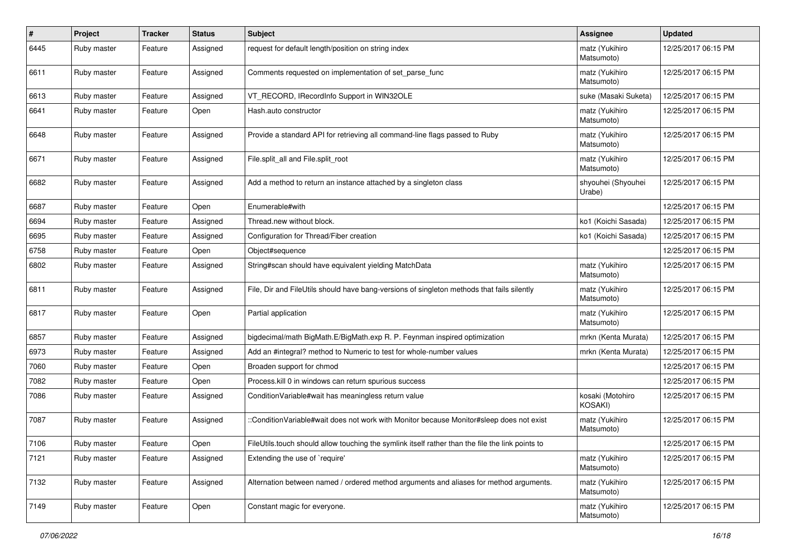| #    | Project     | <b>Tracker</b> | <b>Status</b> | <b>Subject</b>                                                                                   | Assignee                     | <b>Updated</b>      |
|------|-------------|----------------|---------------|--------------------------------------------------------------------------------------------------|------------------------------|---------------------|
| 6445 | Ruby master | Feature        | Assigned      | request for default length/position on string index                                              | matz (Yukihiro<br>Matsumoto) | 12/25/2017 06:15 PM |
| 6611 | Ruby master | Feature        | Assigned      | Comments requested on implementation of set_parse_func                                           | matz (Yukihiro<br>Matsumoto) | 12/25/2017 06:15 PM |
| 6613 | Ruby master | Feature        | Assigned      | VT RECORD, IRecordInfo Support in WIN32OLE                                                       | suke (Masaki Suketa)         | 12/25/2017 06:15 PM |
| 6641 | Ruby master | Feature        | Open          | Hash.auto constructor                                                                            | matz (Yukihiro<br>Matsumoto) | 12/25/2017 06:15 PM |
| 6648 | Ruby master | Feature        | Assigned      | Provide a standard API for retrieving all command-line flags passed to Ruby                      | matz (Yukihiro<br>Matsumoto) | 12/25/2017 06:15 PM |
| 6671 | Ruby master | Feature        | Assigned      | File.split_all and File.split_root                                                               | matz (Yukihiro<br>Matsumoto) | 12/25/2017 06:15 PM |
| 6682 | Ruby master | Feature        | Assigned      | Add a method to return an instance attached by a singleton class                                 | shyouhei (Shyouhei<br>Urabe) | 12/25/2017 06:15 PM |
| 6687 | Ruby master | Feature        | Open          | Enumerable#with                                                                                  |                              | 12/25/2017 06:15 PM |
| 6694 | Ruby master | Feature        | Assigned      | Thread.new without block.                                                                        | ko1 (Koichi Sasada)          | 12/25/2017 06:15 PM |
| 6695 | Ruby master | Feature        | Assigned      | Configuration for Thread/Fiber creation                                                          | ko1 (Koichi Sasada)          | 12/25/2017 06:15 PM |
| 6758 | Ruby master | Feature        | Open          | Object#sequence                                                                                  |                              | 12/25/2017 06:15 PM |
| 6802 | Ruby master | Feature        | Assigned      | String#scan should have equivalent yielding MatchData                                            | matz (Yukihiro<br>Matsumoto) | 12/25/2017 06:15 PM |
| 6811 | Ruby master | Feature        | Assigned      | File, Dir and FileUtils should have bang-versions of singleton methods that fails silently       | matz (Yukihiro<br>Matsumoto) | 12/25/2017 06:15 PM |
| 6817 | Ruby master | Feature        | Open          | Partial application                                                                              | matz (Yukihiro<br>Matsumoto) | 12/25/2017 06:15 PM |
| 6857 | Ruby master | Feature        | Assigned      | bigdecimal/math BigMath.E/BigMath.exp R. P. Feynman inspired optimization                        | mrkn (Kenta Murata)          | 12/25/2017 06:15 PM |
| 6973 | Ruby master | Feature        | Assigned      | Add an #integral? method to Numeric to test for whole-number values                              | mrkn (Kenta Murata)          | 12/25/2017 06:15 PM |
| 7060 | Ruby master | Feature        | Open          | Broaden support for chmod                                                                        |                              | 12/25/2017 06:15 PM |
| 7082 | Ruby master | Feature        | Open          | Process. kill 0 in windows can return spurious success                                           |                              | 12/25/2017 06:15 PM |
| 7086 | Ruby master | Feature        | Assigned      | ConditionVariable#wait has meaningless return value                                              | kosaki (Motohiro<br>KOSAKI)  | 12/25/2017 06:15 PM |
| 7087 | Ruby master | Feature        | Assigned      | ::ConditionVariable#wait does not work with Monitor because Monitor#sleep does not exist         | matz (Yukihiro<br>Matsumoto) | 12/25/2017 06:15 PM |
| 7106 | Ruby master | Feature        | Open          | FileUtils.touch should allow touching the symlink itself rather than the file the link points to |                              | 12/25/2017 06:15 PM |
| 7121 | Ruby master | Feature        | Assigned      | Extending the use of `require'                                                                   | matz (Yukihiro<br>Matsumoto) | 12/25/2017 06:15 PM |
| 7132 | Ruby master | Feature        | Assigned      | Alternation between named / ordered method arguments and aliases for method arguments.           | matz (Yukihiro<br>Matsumoto) | 12/25/2017 06:15 PM |
| 7149 | Ruby master | Feature        | Open          | Constant magic for everyone.                                                                     | matz (Yukihiro<br>Matsumoto) | 12/25/2017 06:15 PM |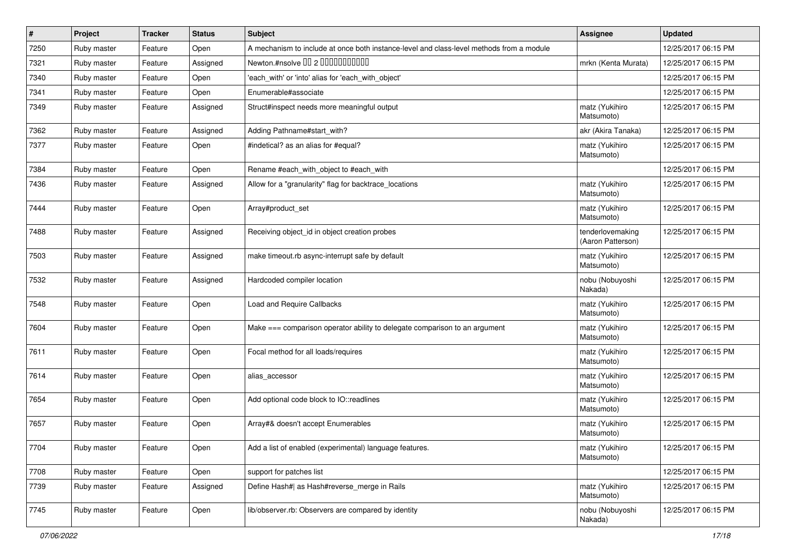| $\vert$ # | Project     | <b>Tracker</b> | <b>Status</b> | Subject                                                                                  | <b>Assignee</b>                       | <b>Updated</b>      |
|-----------|-------------|----------------|---------------|------------------------------------------------------------------------------------------|---------------------------------------|---------------------|
| 7250      | Ruby master | Feature        | Open          | A mechanism to include at once both instance-level and class-level methods from a module |                                       | 12/25/2017 06:15 PM |
| 7321      | Ruby master | Feature        | Assigned      | Newton.#nsolve 00 2 0000000000                                                           | mrkn (Kenta Murata)                   | 12/25/2017 06:15 PM |
| 7340      | Ruby master | Feature        | Open          | 'each_with' or 'into' alias for 'each_with_object'                                       |                                       | 12/25/2017 06:15 PM |
| 7341      | Ruby master | Feature        | Open          | Enumerable#associate                                                                     |                                       | 12/25/2017 06:15 PM |
| 7349      | Ruby master | Feature        | Assigned      | Struct#inspect needs more meaningful output                                              | matz (Yukihiro<br>Matsumoto)          | 12/25/2017 06:15 PM |
| 7362      | Ruby master | Feature        | Assigned      | Adding Pathname#start_with?                                                              | akr (Akira Tanaka)                    | 12/25/2017 06:15 PM |
| 7377      | Ruby master | Feature        | Open          | #indetical? as an alias for #equal?                                                      | matz (Yukihiro<br>Matsumoto)          | 12/25/2017 06:15 PM |
| 7384      | Ruby master | Feature        | Open          | Rename #each_with_object to #each_with                                                   |                                       | 12/25/2017 06:15 PM |
| 7436      | Ruby master | Feature        | Assigned      | Allow for a "granularity" flag for backtrace_locations                                   | matz (Yukihiro<br>Matsumoto)          | 12/25/2017 06:15 PM |
| 7444      | Ruby master | Feature        | Open          | Array#product_set                                                                        | matz (Yukihiro<br>Matsumoto)          | 12/25/2017 06:15 PM |
| 7488      | Ruby master | Feature        | Assigned      | Receiving object_id in object creation probes                                            | tenderlovemaking<br>(Aaron Patterson) | 12/25/2017 06:15 PM |
| 7503      | Ruby master | Feature        | Assigned      | make timeout.rb async-interrupt safe by default                                          | matz (Yukihiro<br>Matsumoto)          | 12/25/2017 06:15 PM |
| 7532      | Ruby master | Feature        | Assigned      | Hardcoded compiler location                                                              | nobu (Nobuyoshi<br>Nakada)            | 12/25/2017 06:15 PM |
| 7548      | Ruby master | Feature        | Open          | Load and Require Callbacks                                                               | matz (Yukihiro<br>Matsumoto)          | 12/25/2017 06:15 PM |
| 7604      | Ruby master | Feature        | Open          | Make === comparison operator ability to delegate comparison to an argument               | matz (Yukihiro<br>Matsumoto)          | 12/25/2017 06:15 PM |
| 7611      | Ruby master | Feature        | Open          | Focal method for all loads/requires                                                      | matz (Yukihiro<br>Matsumoto)          | 12/25/2017 06:15 PM |
| 7614      | Ruby master | Feature        | Open          | alias_accessor                                                                           | matz (Yukihiro<br>Matsumoto)          | 12/25/2017 06:15 PM |
| 7654      | Ruby master | Feature        | Open          | Add optional code block to IO::readlines                                                 | matz (Yukihiro<br>Matsumoto)          | 12/25/2017 06:15 PM |
| 7657      | Ruby master | Feature        | Open          | Array#& doesn't accept Enumerables                                                       | matz (Yukihiro<br>Matsumoto)          | 12/25/2017 06:15 PM |
| 7704      | Ruby master | Feature        | Open          | Add a list of enabled (experimental) language features.                                  | matz (Yukihiro<br>Matsumoto)          | 12/25/2017 06:15 PM |
| 7708      | Ruby master | Feature        | Open          | support for patches list                                                                 |                                       | 12/25/2017 06:15 PM |
| 7739      | Ruby master | Feature        | Assigned      | Define Hash#  as Hash#reverse_merge in Rails                                             | matz (Yukihiro<br>Matsumoto)          | 12/25/2017 06:15 PM |
| 7745      | Ruby master | Feature        | Open          | lib/observer.rb: Observers are compared by identity                                      | nobu (Nobuyoshi<br>Nakada)            | 12/25/2017 06:15 PM |